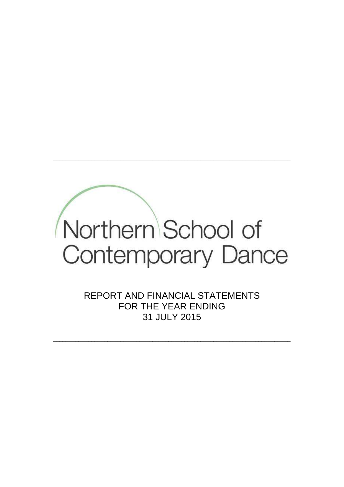# Northern School of **Contemporary Dance**

REPORT AND FINANCIAL STATEMENTS FOR THE YEAR ENDING 31 JULY 2015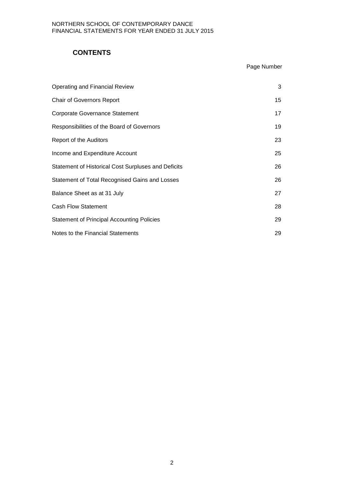# **CONTENTS**

## Page Number

| Operating and Financial Review                      | 3  |
|-----------------------------------------------------|----|
| <b>Chair of Governors Report</b>                    | 15 |
| <b>Corporate Governance Statement</b>               | 17 |
| Responsibilities of the Board of Governors          | 19 |
| Report of the Auditors                              | 23 |
| Income and Expenditure Account                      | 25 |
| Statement of Historical Cost Surpluses and Deficits | 26 |
| Statement of Total Recognised Gains and Losses      | 26 |
| Balance Sheet as at 31 July                         | 27 |
| <b>Cash Flow Statement</b>                          | 28 |
| <b>Statement of Principal Accounting Policies</b>   | 29 |
| Notes to the Financial Statements                   | 29 |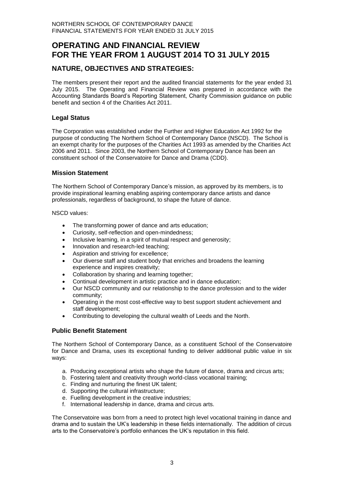# **OPERATING AND FINANCIAL REVIEW FOR THE YEAR FROM 1 AUGUST 2014 TO 31 JULY 2015**

# **NATURE, OBJECTIVES AND STRATEGIES:**

The members present their report and the audited financial statements for the year ended 31 July 2015. The Operating and Financial Review was prepared in accordance with the Accounting Standards Board's Reporting Statement, Charity Commission guidance on public benefit and section 4 of the Charities Act 2011.

## **Legal Status**

The Corporation was established under the Further and Higher Education Act 1992 for the purpose of conducting The Northern School of Contemporary Dance (NSCD). The School is an exempt charity for the purposes of the Charities Act 1993 as amended by the Charities Act 2006 and 2011. Since 2003, the Northern School of Contemporary Dance has been an constituent school of the Conservatoire for Dance and Drama (CDD).

## **Mission Statement**

The Northern School of Contemporary Dance's mission, as approved by its members, is to provide inspirational learning enabling aspiring contemporary dance artists and dance professionals, regardless of background, to shape the future of dance.

#### NSCD values:

- The transforming power of dance and arts education;
- Curiosity, self-reflection and open-mindedness;
- Inclusive learning, in a spirit of mutual respect and generosity;
- Innovation and research-led teaching;
- Aspiration and striving for excellence;
- Our diverse staff and student body that enriches and broadens the learning experience and inspires creativity;
- Collaboration by sharing and learning together;
- Continual development in artistic practice and in dance education;
- Our NSCD community and our relationship to the dance profession and to the wider community;
- Operating in the most cost-effective way to best support student achievement and staff development;
- Contributing to developing the cultural wealth of Leeds and the North.

#### **Public Benefit Statement**

The Northern School of Contemporary Dance, as a constituent School of the Conservatoire for Dance and Drama, uses its exceptional funding to deliver additional public value in six ways:

- a. Producing exceptional artists who shape the future of dance, drama and circus arts;
- b. Fostering talent and creativity through world-class vocational training;
- c. Finding and nurturing the finest UK talent;
- d. Supporting the cultural infrastructure;
- e. Fuelling development in the creative industries;
- f. International leadership in dance, drama and circus arts.

The Conservatoire was born from a need to protect high level vocational training in dance and drama and to sustain the UK's leadership in these fields internationally. The addition of circus arts to the Conservatoire's portfolio enhances the UK's reputation in this field.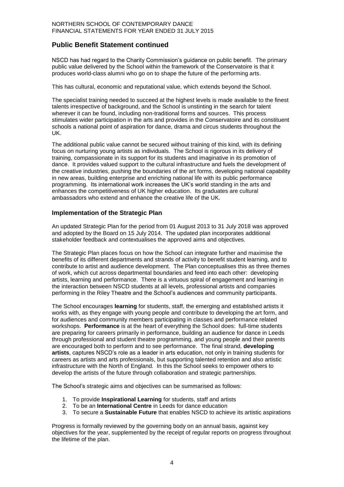## **Public Benefit Statement continued**

NSCD has had regard to the Charity Commission's guidance on public benefit. The primary public value delivered by the School within the framework of the Conservatoire is that it produces world-class alumni who go on to shape the future of the performing arts.

This has cultural, economic and reputational value, which extends beyond the School.

The specialist training needed to succeed at the highest levels is made available to the finest talents irrespective of background, and the School is unstinting in the search for talent wherever it can be found, including non-traditional forms and sources. This process stimulates wider participation in the arts and provides in the Conservatoire and its constituent schools a national point of aspiration for dance, drama and circus students throughout the UK.

The additional public value cannot be secured without training of this kind, with its defining focus on nurturing young artists as individuals. The School is rigorous in its delivery of training, compassionate in its support for its students and imaginative in its promotion of dance. It provides valued support to the cultural infrastructure and fuels the development of the creative industries, pushing the boundaries of the art forms, developing national capability in new areas, building enterprise and enriching national life with its public performance programming. Its international work increases the UK's world standing in the arts and enhances the competitiveness of UK higher education. Its graduates are cultural ambassadors who extend and enhance the creative life of the UK.

#### **Implementation of the Strategic Plan**

An updated Strategic Plan for the period from 01 August 2013 to 31 July 2018 was approved and adopted by the Board on 15 July 2014. The updated plan incorporates additional stakeholder feedback and contextualises the approved aims and objectives.

The Strategic Plan places focus on how the School can integrate further and maximise the benefits of its different departments and strands of activity to benefit student learning, and to contribute to artist and audience development. The Plan conceptualises this as three themes of work, which cut across departmental boundaries and feed into each other: developing artists, learning and performance. There is a virtuous spiral of engagement and learning in the interaction between NSCD students at all levels, professional artists and companies performing in the Riley Theatre and the School's audiences and community participants.

The School encourages **learning** for students, staff, the emerging and established artists it works with, as they engage with young people and contribute to developing the art form, and for audiences and community members participating in classes and performance related workshops. **Performance** is at the heart of everything the School does: full-time students are preparing for careers primarily in performance, building an audience for dance in Leeds through professional and student theatre programming, and young people and their parents are encouraged both to perform and to see performance. The final strand, **developing artists**, captures NSCD's role as a leader in arts education, not only in training students for careers as artists and arts professionals, but supporting talented retention and also artistic infrastructure with the North of England. In this the School seeks to empower others to develop the artists of the future through collaboration and strategic partnerships.

The School's strategic aims and objectives can be summarised as follows:

- 1. To provide **Inspirational Learning** for students, staff and artists
- 2. To be an **International Centre** in Leeds for dance education
- 3. To secure a **Sustainable Future** that enables NSCD to achieve its artistic aspirations

Progress is formally reviewed by the governing body on an annual basis, against key objectives for the year, supplemented by the receipt of regular reports on progress throughout the lifetime of the plan.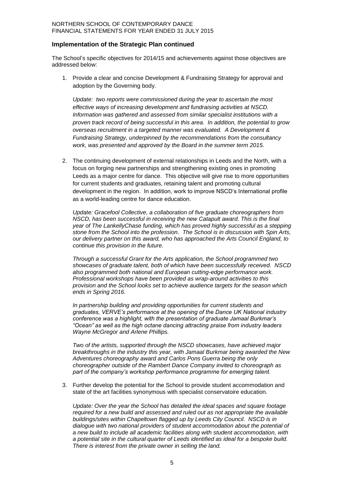## **Implementation of the Strategic Plan continued**

The School's specific objectives for 2014/15 and achievements against those objectives are addressed below:

1. Provide a clear and concise Development & Fundraising Strategy for approval and adoption by the Governing body.

*Update: two reports were commissioned during the year to ascertain the most effective ways of increasing development and fundraising activities at NSCD. Information was gathered and assessed from similar specialist institutions with a proven track record of being successful in this area. In addition, the potential to grow overseas recruitment in a targeted manner was evaluated. A Development & Fundraising Strategy, underpinned by the recommendations from the consultancy work, was presented and approved by the Board in the summer term 2015.*

2. The continuing development of external relationships in Leeds and the North, with a focus on forging new partnerships and strengthening existing ones in promoting Leeds as a major centre for dance. This objective will give rise to more opportunities for current students and graduates, retaining talent and promoting cultural development in the region. In addition, work to improve NSCD's International profile as a world-leading centre for dance education.

*Update: Gracefool Collective, a collaboration of five graduate choreographers from NSCD, has been successful in receiving the new Catapult award. This is the final year of The LankellyChase funding, which has proved highly successful as a stepping stone from the School into the profession. The School is in discussion with Spin Arts, our delivery partner on this award, who has approached the Arts Council England, to continue this provision in the future.*

*Through a successful Grant for the Arts application, the School programmed two showcases of graduate talent, both of which have been successfully received. NSCD also programmed both national and European cutting-edge performance work. Professional workshops have been provided as wrap-around activities to this provision and the School looks set to achieve audience targets for the season which ends in Spring 2016.*

*In partnership building and providing opportunities for current students and graduates, VERVE's performance at the opening of the Dance UK National industry conference was a highlight, with the presentation of graduate Jamaal Burkmar's "Ocean" as well as the high octane dancing attracting praise from industry leaders Wayne McGregor and Arlene Phillips.* 

*Two of the artists, supported through the NSCD showcases, have achieved major breakthroughs in the industry this year, with Jamaal Burkmar being awarded the New Adventures choreography award and Carlos Pons Guerra being the only choreographer outside of the Rambert Dance Company invited to choreograph as part of the company's workshop performance programme for emerging talent.*

3. Further develop the potential for the School to provide student accommodation and state of the art facilities synonymous with specialist conservatoire education.

*Update: Over the year the School has detailed the ideal spaces and square footage required for a new build and assessed and ruled out as not appropriate the available buildings/sites within Chapeltown flagged up by Leeds City Council. NSCD is in dialogue with two national providers of student accommodation about the potential of a new build to include all academic facilities along with student accommodation, with a potential site in the cultural quarter of Leeds identified as ideal for a bespoke build. There is interest from the private owner in selling the land.*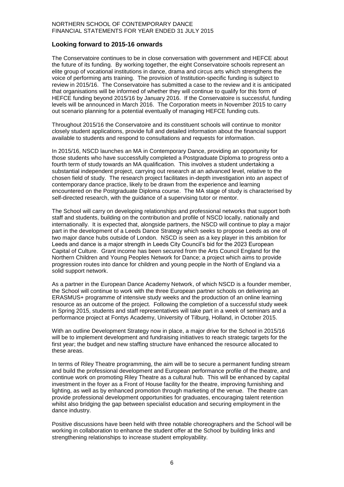## **Looking forward to 2015-16 onwards**

The Conservatoire continues to be in close conversation with government and HEFCE about the future of its funding. By working together, the eight Conservatoire schools represent an elite group of vocational institutions in dance, drama and circus arts which strengthens the voice of performing arts training. The provision of Institution-specific funding is subject to review in 2015/16. The Conservatoire has submitted a case to the review and it is anticipated that organisations will be informed of whether they will continue to qualify for this form of HEFCE funding beyond 2015/16 by January 2016. If the Conservatoire is successful, funding levels will be announced in March 2016. The Corporation meets in November 2015 to carry out scenario planning for a potential eventually of managing HEFCE funding cuts.

Throughout 2015/16 the Conservatoire and its constituent schools will continue to monitor closely student applications, provide full and detailed information about the financial support available to students and respond to consultations and requests for information.

In 2015/16, NSCD launches an MA in Contemporary Dance, providing an opportunity for those students who have successfully completed a Postgraduate Diploma to progress onto a fourth term of study towards an MA qualification. This involves a student undertaking a substantial independent project, carrying out research at an advanced level, relative to the chosen field of study. The research project facilitates in-depth investigation into an aspect of contemporary dance practice, likely to be drawn from the experience and learning encountered on the Postgraduate Diploma course. The MA stage of study is characterised by self-directed research, with the guidance of a supervising tutor or mentor.

The School will carry on developing relationships and professional networks that support both staff and students, building on the contribution and profile of NSCD locally, nationally and internationally. It is expected that, alongside partners, the NSCD will continue to play a major part in the development of a Leeds Dance Strategy which seeks to propose Leeds as one of two major dance hubs outside of London. NSCD is seen as a key player in this ambition for Leeds and dance is a major strength in Leeds City Council's bid for the 2023 European Capital of Culture. Grant income has been secured from the Arts Council England for the Northern Children and Young Peoples Network for Dance; a project which aims to provide progression routes into dance for children and young people in the North of England via a solid support network.

As a partner in the European Dance Academy Network, of which NSCD is a founder member, the School will continue to work with the three European partner schools on delivering an ERASMUS+ programme of intensive study weeks and the production of an online learning resource as an outcome of the project. Following the completion of a successful study week in Spring 2015, students and staff representatives will take part in a week of seminars and a performance project at Fontys Academy, University of Tilburg, Holland, in October 2015.

With an outline Development Strategy now in place, a major drive for the School in 2015/16 will be to implement development and fundraising initiatives to reach strategic targets for the first year; the budget and new staffing structure have enhanced the resource allocated to these areas.

In terms of Riley Theatre programming, the aim will be to secure a permanent funding stream and build the professional development and European performance profile of the theatre, and continue work on promoting Riley Theatre as a cultural hub. This will be enhanced by capital investment in the foyer as a Front of House facility for the theatre, improving furnishing and lighting, as well as by enhanced promotion through marketing of the venue. The theatre can provide professional development opportunities for graduates, encouraging talent retention whilst also bridging the gap between specialist education and securing employment in the dance industry.

Positive discussions have been held with three notable choreographers and the School will be working in collaboration to enhance the student offer at the School by building links and strengthening relationships to increase student employability.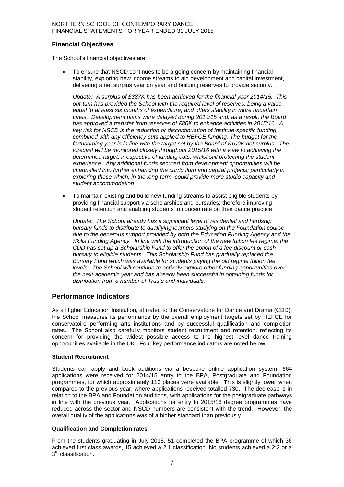## **Financial Objectives**

The School's financial objectives are:

 To ensure that NSCD continues to be a going concern by maintaining financial stability, exploring new income streams to aid development and capital investment, delivering a net surplus year on year and building reserves to provide security.

*Update: A surplus of £387K has been achieved for the financial year 2014/15. This out-turn has provided the School with the required level of reserves, being a value equal to at least six months of expenditure, and offers stability in more uncertain times. Development plans were delayed during 2014/15 and, as a result, the Board has approved a transfer from reserves of £80K to enhance activities in 2015/16. A key risk for NSCD is the reduction or discontinuation of Institute-specific funding, combined with any efficiency cuts applied to HEFCE funding. The budget for the forthcoming year is in line with the target set by the Board of £100K net surplus. The forecast will be monitored closely throughout 2015/16 with a view to achieving the determined target, irrespective of funding cuts, whilst still protecting the student experience. Any additional funds secured from development opportunities will be channelled into further enhancing the curriculum and capital projects; particularly in exploring those which, in the long-term, could provide more studio capacity and student accommodation.* 

 To maintain existing and build new funding streams to assist eligible students by providing financial support via scholarships and bursaries; therefore improving student retention and enabling students to concentrate on their dance practice.

*Update: The School already has a significant level of residential and hardship bursary funds to distribute to qualifying learners studying on the Foundation course due to the generous support provided by both the Education Funding Agency and the Skills Funding Agency. In line with the introduction of the new tuition fee regime, the CDD has set up a Scholarship Fund to offer the option of a fee discount or cash bursary to eligible students. This Scholarship Fund has gradually replaced the Bursary Fund which was available for students paying the old regime tuition fee levels. The School will continue to actively explore other funding opportunities over the next academic year and has already been successful in obtaining funds for distribution from a number of Trusts and individuals.*

## **Performance Indicators**

As a Higher Education Institution, affiliated to the Conservatoire for Dance and Drama (CDD), the School measures its performance by the overall employment targets set by HEFCE for conservatoire performing arts institutions and by successful qualification and completion rates. The School also carefully monitors student recruitment and retention, reflecting its concern for providing the widest possible access to the highest level dance training opportunities available in the UK. Four key performance indicators are noted below:

#### **Student Recruitment**

Students can apply and book auditions via a bespoke online application system. 664 applications were received for 2014/15 entry to the BPA, Postgraduate and Foundation programmes, for which approximately 110 places were available. This is slightly lower when compared to the previous year, where applications received totalled 730. The decrease is in relation to the BPA and Foundation auditions, with applications for the postgraduate pathways in line with the previous year. Applications for entry to 2015/16 degree programmes have reduced across the sector and NSCD numbers are consistent with the trend. However, the overall quality of the applications was of a higher standard than previously.

#### **Qualification and Completion rates**

From the students graduating in July 2015, 51 completed the BPA programme of which 36 achieved first class awards, 15 achieved a 2:1 classification. No students achieved a 2:2 or a 3<sup>rd</sup> classification.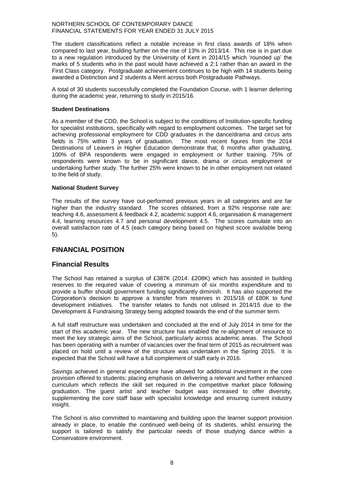The student classifications reflect a notable increase in first class awards of 18% when compared to last year, building further on the rise of 13% in 2013/14. This rise is in part due to a new regulation introduced by the University of Kent in 2014/15 which 'rounded up' the marks of 5 students who in the past would have achieved a 2:1 rather than an award in the First Class category. Postgraduate achievement continues to be high with 14 students being awarded a Distinction and 2 students a Merit across both Postgraduate Pathways.

A total of 30 students successfully completed the Foundation Course, with 1 learner deferring during the academic year, returning to study in 2015/16.

#### **Student Destinations**

As a member of the CDD, the School is subject to the conditions of Institution-specific funding for specialist institutions, specifically with regard to employment outcomes. The target set for achieving professional employment for CDD graduates in the dance/drama and circus arts fields is 75% within 3 years of graduation. The most recent figures from the 2014 Destinations of Leavers in Higher Education demonstrate that, 6 months after graduating, 100% of BPA respondents were engaged in employment or further training. 75% of respondents were known to be in significant dance, drama or circus employment or undertaking further study. The further 25% were known to be in other employment not related to the field of study.

#### **National Student Survey**

The results of the survey have out-performed previous years in all categories and are far higher than the industry standard. The scores obtained, from a 92% response rate are: teaching 4.6, assessment & feedback 4.2, academic support 4.6, organisation & management 4.4, learning resources 4.7 and personal development 4.5. The scores cumulate into an overall satisfaction rate of 4.5 (each category being based on highest score available being 5).

## **FINANCIAL POSITION**

## **Financial Results**

The School has retained a surplus of £387K (2014: £208K) which has assisted in building reserves to the required value of covering a minimum of six months expenditure and to provide a buffer should government funding significantly diminish. It has also supported the Corporation's decision to approve a transfer from reserves in 2015/16 of £80K to fund development initiatives. The transfer relates to funds not utilised in 2014/15 due to the Development & Fundraising Strategy being adopted towards the end of the summer term.

A full staff restructure was undertaken and concluded at the end of July 2014 in time for the start of this academic year. The new structure has enabled the re-alignment of resource to meet the key strategic aims of the School, particularly across academic areas. The School has been operating with a number of vacancies over the final term of 2015 as recruitment was placed on hold until a review of the structure was undertaken in the Spring 2015. It is expected that the School will have a full complement of staff early in 2016.

Savings achieved in general expenditure have allowed for additional investment in the core provision offered to students; placing emphasis on delivering a relevant and further enhanced curriculum which reflects the skill set required in the competitive market place following graduation. The guest artist and teacher budget was increased to offer diversity, supplementing the core staff base with specialist knowledge and ensuring current industry insight.

The School is also committed to maintaining and building upon the learner support provision already in place, to enable the continued well-being of its students, whilst ensuring the support is tailored to satisfy the particular needs of those studying dance within a Conservatoire environment.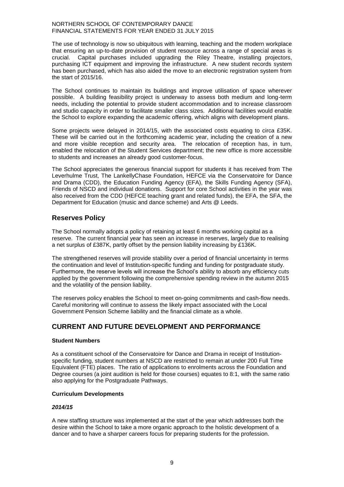The use of technology is now so ubiquitous with learning, teaching and the modern workplace that ensuring an up-to-date provision of student resource across a range of special areas is crucial. Capital purchases included upgrading the Riley Theatre, installing projectors, purchasing ICT equipment and improving the infrastructure. A new student records system has been purchased, which has also aided the move to an electronic registration system from the start of 2015/16.

The School continues to maintain its buildings and improve utilisation of space wherever possible. A building feasibility project is underway to assess both medium and long-term needs, including the potential to provide student accommodation and to increase classroom and studio capacity in order to facilitate smaller class sizes. Additional facilities would enable the School to explore expanding the academic offering, which aligns with development plans.

Some projects were delayed in 2014/15, with the associated costs equating to circa £35K. These will be carried out in the forthcoming academic year, including the creation of a new and more visible reception and security area. The relocation of reception has, in turn, enabled the relocation of the Student Services department; the new office is more accessible to students and increases an already good customer-focus.

The School appreciates the generous financial support for students it has received from The Leverhulme Trust, The LankellyChase Foundation, HEFCE via the Conservatoire for Dance and Drama (CDD), the Education Funding Agency (EFA), the Skills Funding Agency (SFA), Friends of NSCD and individual donations. Support for core School activities in the year was also received from the CDD (HEFCE teaching grant and related funds), the EFA, the SFA, the Department for Education (music and dance scheme) and Arts @ Leeds.

## **Reserves Policy**

The School normally adopts a policy of retaining at least 6 months working capital as a reserve. The current financial year has seen an increase in reserves, largely due to realising a net surplus of £387K, partly offset by the pension liability increasing by £136K.

The strengthened reserves will provide stability over a period of financial uncertainty in terms the continuation and level of Institution-specific funding and funding for postgraduate study. Furthermore, the reserve levels will increase the School's ability to absorb any efficiency cuts applied by the government following the comprehensive spending review in the autumn 2015 and the volatility of the pension liability.

The reserves policy enables the School to meet on-going commitments and cash-flow needs. Careful monitoring will continue to assess the likely impact associated with the Local Government Pension Scheme liability and the financial climate as a whole.

## **CURRENT AND FUTURE DEVELOPMENT AND PERFORMANCE**

#### **Student Numbers**

As a constituent school of the Conservatoire for Dance and Drama in receipt of Institutionspecific funding, student numbers at NSCD are restricted to remain at under 200 Full Time Equivalent (FTE) places. The ratio of applications to enrolments across the Foundation and Degree courses (a joint audition is held for those courses) equates to 8:1, with the same ratio also applying for the Postgraduate Pathways.

#### **Curriculum Developments**

#### *2014/15*

A new staffing structure was implemented at the start of the year which addresses both the desire within the School to take a more organic approach to the holistic development of a dancer and to have a sharper careers focus for preparing students for the profession.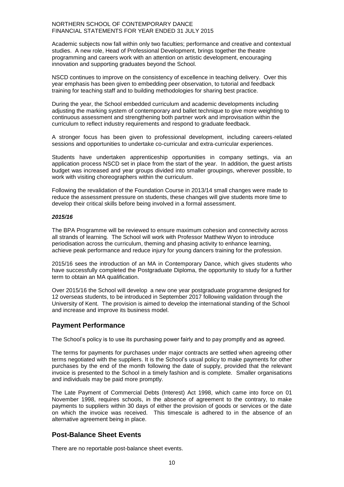Academic subjects now fall within only two faculties; performance and creative and contextual studies. A new role, Head of Professional Development, brings together the theatre programming and careers work with an attention on artistic development, encouraging innovation and supporting graduates beyond the School.

NSCD continues to improve on the consistency of excellence in teaching delivery. Over this year emphasis has been given to embedding peer observation, to tutorial and feedback training for teaching staff and to building methodologies for sharing best practice.

During the year, the School embedded curriculum and academic developments including adjusting the marking system of contemporary and ballet technique to give more weighting to continuous assessment and strengthening both partner work and improvisation within the curriculum to reflect industry requirements and respond to graduate feedback.

A stronger focus has been given to professional development, including careers-related sessions and opportunities to undertake co-curricular and extra-curricular experiences.

Students have undertaken apprenticeship opportunities in company settings, via an application process NSCD set in place from the start of the year. In addition, the guest artists budget was increased and year groups divided into smaller groupings, wherever possible, to work with visiting choreographers within the curriculum.

Following the revalidation of the Foundation Course in 2013/14 small changes were made to reduce the assessment pressure on students, these changes will give students more time to develop their critical skills before being involved in a formal assessment.

#### *2015/16*

The BPA Programme will be reviewed to ensure maximum cohesion and connectivity across all strands of learning. The School will work with Professor Matthew Wyon to introduce periodisation across the curriculum, theming and phasing activity to enhance learning, achieve peak performance and reduce injury for young dancers training for the profession.

2015/16 sees the introduction of an MA in Contemporary Dance, which gives students who have successfully completed the Postgraduate Diploma, the opportunity to study for a further term to obtain an MA qualification.

Over 2015/16 the School will develop a new one year postgraduate programme designed for 12 overseas students, to be introduced in September 2017 following validation through the University of Kent. The provision is aimed to develop the international standing of the School and increase and improve its business model.

## **Payment Performance**

The School's policy is to use its purchasing power fairly and to pay promptly and as agreed.

The terms for payments for purchases under major contracts are settled when agreeing other terms negotiated with the suppliers. It is the School's usual policy to make payments for other purchases by the end of the month following the date of supply, provided that the relevant invoice is presented to the School in a timely fashion and is complete. Smaller organisations and individuals may be paid more promptly.

The Late Payment of Commercial Debts (Interest) Act 1998, which came into force on 01 November 1998, requires schools, in the absence of agreement to the contrary, to make payments to suppliers within 30 days of either the provision of goods or services or the date on which the invoice was received. This timescale is adhered to in the absence of an alternative agreement being in place.

## **Post-Balance Sheet Events**

There are no reportable post-balance sheet events.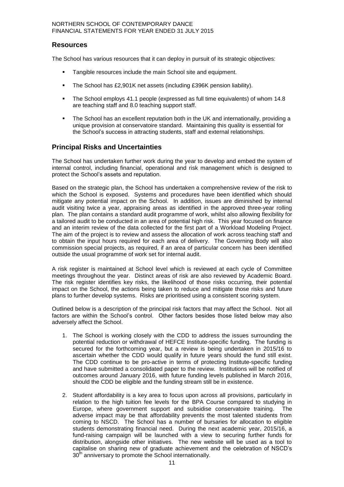## **Resources**

The School has various resources that it can deploy in pursuit of its strategic objectives:

- Tangible resources include the main School site and equipment.
- The School has £2,901K net assets (including £396K pension liability).
- The School employs 41.1 people (expressed as full time equivalents) of whom 14.8 are teaching staff and 8.0 teaching support staff.
- The School has an excellent reputation both in the UK and internationally, providing a unique provision at conservatoire standard. Maintaining this quality is essential for the School's success in attracting students, staff and external relationships.

## **Principal Risks and Uncertainties**

The School has undertaken further work during the year to develop and embed the system of internal control, including financial, operational and risk management which is designed to protect the School's assets and reputation.

Based on the strategic plan, the School has undertaken a comprehensive review of the risk to which the School is exposed. Systems and procedures have been identified which should mitigate any potential impact on the School. In addition, issues are diminished by internal audit visiting twice a year, appraising areas as identified in the approved three-year rolling plan. The plan contains a standard audit programme of work, whilst also allowing flexibility for a tailored audit to be conducted in an area of potential high risk. This year focused on finance and an interim review of the data collected for the first part of a Workload Modeling Project. The aim of the project is to review and assess the allocation of work across teaching staff and to obtain the input hours required for each area of delivery. The Governing Body will also commission special projects, as required, if an area of particular concern has been identified outside the usual programme of work set for internal audit.

A risk register is maintained at School level which is reviewed at each cycle of Committee meetings throughout the year. Distinct areas of risk are also reviewed by Academic Board. The risk register identifies key risks, the likelihood of those risks occurring, their potential impact on the School, the actions being taken to reduce and mitigate those risks and future plans to further develop systems. Risks are prioritised using a consistent scoring system.

Outlined below is a description of the principal risk factors that may affect the School. Not all factors are within the School's control. Other factors besides those listed below may also adversely affect the School.

- 1. The School is working closely with the CDD to address the issues surrounding the potential reduction or withdrawal of HEFCE Institute-specific funding. The funding is secured for the forthcoming year, but a review is being undertaken in 2015/16 to ascertain whether the CDD would qualify in future years should the fund still exist. The CDD continue to be pro-active in terms of protecting Institute-specific funding and have submitted a consolidated paper to the review. Institutions will be notified of outcomes around January 2016, with future funding levels published in March 2016, should the CDD be eligible and the funding stream still be in existence.
- 2. Student affordability is a key area to focus upon across all provisions, particularly in relation to the high tuition fee levels for the BPA Course compared to studying in Europe, where government support and subsidise conservatoire training. The adverse impact may be that affordability prevents the most talented students from coming to NSCD. The School has a number of bursaries for allocation to eligible students demonstrating financial need. During the next academic year, 2015/16, a fund-raising campaign will be launched with a view to securing further funds for distribution, alongside other initiatives. The new website will be used as a tool to capitalise on sharing new of graduate achievement and the celebration of NSCD's 30<sup>th</sup> anniversary to promote the School internationally.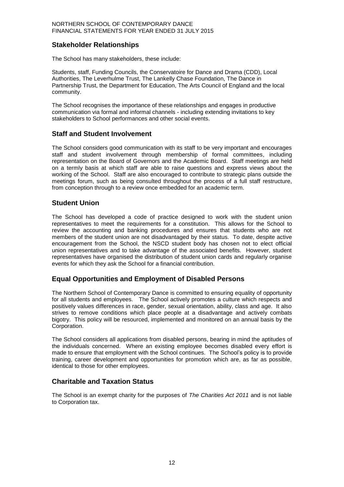## **Stakeholder Relationships**

The School has many stakeholders, these include:

Students, staff, Funding Councils, the Conservatoire for Dance and Drama (CDD), Local Authorities, The Leverhulme Trust, The Lankelly Chase Foundation, The Dance in Partnership Trust, the Department for Education, The Arts Council of England and the local community.

The School recognises the importance of these relationships and engages in productive communication via formal and informal channels - including extending invitations to key stakeholders to School performances and other social events.

## **Staff and Student Involvement**

The School considers good communication with its staff to be very important and encourages staff and student involvement through membership of formal committees, including representation on the Board of Governors and the Academic Board. Staff meetings are held on a termly basis at which staff are able to raise questions and express views about the working of the School. Staff are also encouraged to contribute to strategic plans outside the meetings forum, such as being consulted throughout the process of a full staff restructure, from conception through to a review once embedded for an academic term.

## **Student Union**

The School has developed a code of practice designed to work with the student union representatives to meet the requirements for a constitution. This allows for the School to review the accounting and banking procedures and ensures that students who are not members of the student union are not disadvantaged by their status. To date, despite active encouragement from the School, the NSCD student body has chosen not to elect official union representatives and to take advantage of the associated benefits. However, student representatives have organised the distribution of student union cards and regularly organise events for which they ask the School for a financial contribution.

## **Equal Opportunities and Employment of Disabled Persons**

The Northern School of Contemporary Dance is committed to ensuring equality of opportunity for all students and employees. The School actively promotes a culture which respects and positively values differences in race, gender, sexual orientation, ability, class and age. It also strives to remove conditions which place people at a disadvantage and actively combats bigotry. This policy will be resourced, implemented and monitored on an annual basis by the Corporation.

The School considers all applications from disabled persons, bearing in mind the aptitudes of the individuals concerned. Where an existing employee becomes disabled every effort is made to ensure that employment with the School continues. The School's policy is to provide training, career development and opportunities for promotion which are, as far as possible, identical to those for other employees.

## **Charitable and Taxation Status**

The School is an exempt charity for the purposes of *The Charities Act 2011* and is not liable to Corporation tax.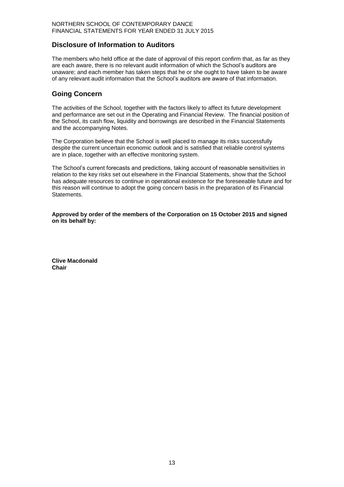## **Disclosure of Information to Auditors**

The members who held office at the date of approval of this report confirm that, as far as they are each aware, there is no relevant audit information of which the School's auditors are unaware; and each member has taken steps that he or she ought to have taken to be aware of any relevant audit information that the School's auditors are aware of that information.

## **Going Concern**

The activities of the School, together with the factors likely to affect its future development and performance are set out in the Operating and Financial Review. The financial position of the School, its cash flow, liquidity and borrowings are described in the Financial Statements and the accompanying Notes.

The Corporation believe that the School is well placed to manage its risks successfully despite the current uncertain economic outlook and is satisfied that reliable control systems are in place, together with an effective monitoring system.

The School's current forecasts and predictions, taking account of reasonable sensitivities in relation to the key risks set out elsewhere in the Financial Statements, show that the School has adequate resources to continue in operational existence for the foreseeable future and for this reason will continue to adopt the going concern basis in the preparation of its Financial Statements.

**Approved by order of the members of the Corporation on 15 October 2015 and signed on its behalf by:**

**Clive Macdonald Chair**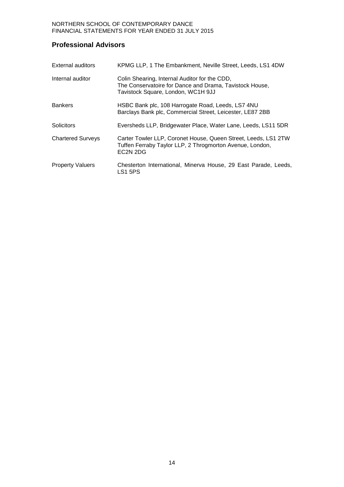# **Professional Advisors**

| <b>External auditors</b> | KPMG LLP, 1 The Embankment, Neville Street, Leeds, LS1 4DW                                                                                                     |
|--------------------------|----------------------------------------------------------------------------------------------------------------------------------------------------------------|
| Internal auditor         | Colin Shearing, Internal Auditor for the CDD,<br>The Conservatoire for Dance and Drama, Tavistock House,<br>Tavistock Square, London, WC1H 9JJ                 |
| <b>Bankers</b>           | HSBC Bank plc, 108 Harrogate Road, Leeds, LS7 4NU<br>Barclays Bank plc, Commercial Street, Leicester, LE87 2BB                                                 |
| Solicitors               | Eversheds LLP, Bridgewater Place, Water Lane, Leeds, LS11 5DR                                                                                                  |
| <b>Chartered Surveys</b> | Carter Towler LLP, Coronet House, Queen Street, Leeds, LS1 2TW<br>Tuffen Ferraby Taylor LLP, 2 Throgmorton Avenue, London,<br>EC <sub>2</sub> N <sub>2DG</sub> |
| <b>Property Valuers</b>  | Chesterton International, Minerva House, 29 East Parade, Leeds,<br><b>LS1 5PS</b>                                                                              |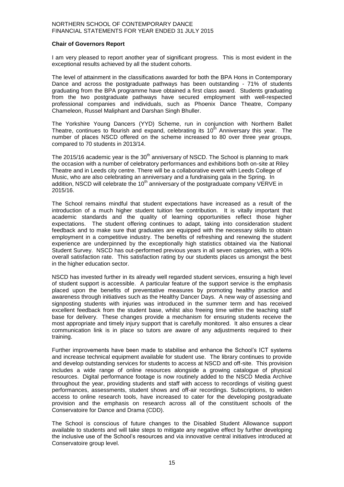#### **Chair of Governors Report**

I am very pleased to report another year of significant progress. This is most evident in the exceptional results achieved by all the student cohorts.

The level of attainment in the classifications awarded for both the BPA Hons in Contemporary Dance and across the postgraduate pathways has been outstanding - 71% of students graduating from the BPA programme have obtained a first class award. Students graduating from the two postgraduate pathways have secured employment with well-respected professional companies and individuals, such as Phoenix Dance Theatre, Company Chameleon, Russel Maliphant and Darshan Singh Bhuller.

The Yorkshire Young Dancers (YYD) Scheme, run in conjunction with Northern Ballet Theatre, continues to flourish and expand, celebrating its  $10<sup>th</sup>$  Anniversary this year. The number of places NSCD offered on the scheme increased to 80 over three year groups, compared to 70 students in 2013/14.

The 2015/16 academic year is the  $30<sup>th</sup>$  anniversary of NSCD. The School is planning to mark the occasion with a number of celebratory performances and exhibitions both on-site at Riley Theatre and in Leeds city centre. There will be a collaborative event with Leeds College of Music, who are also celebrating an anniversary and a fundraising gala in the Spring. In addition, NSCD will celebrate the  $10<sup>th</sup>$  anniversary of the postgraduate company VERVE in 2015/16.

The School remains mindful that student expectations have increased as a result of the introduction of a much higher student tuition fee contribution. It is vitally important that academic standards and the quality of learning opportunities reflect those higher expectations. The student offering continues to adapt, taking into consideration student feedback and to make sure that graduates are equipped with the necessary skills to obtain employment in a competitive industry. The benefits of refreshing and renewing the student experience are underpinned by the exceptionally high statistics obtained via the National Student Survey. NSCD has out-performed previous years in all seven categories, with a 90% overall satisfaction rate. This satisfaction rating by our students places us amongst the best in the higher education sector.

NSCD has invested further in its already well regarded student services, ensuring a high level of student support is accessible. A particular feature of the support service is the emphasis placed upon the benefits of preventative measures by promoting healthy practice and awareness through initiatives such as the Healthy Dancer Days. A new way of assessing and signposting students with injuries was introduced in the summer term and has received excellent feedback from the student base, whilst also freeing time within the teaching staff base for delivery. These changes provide a mechanism for ensuring students receive the most appropriate and timely injury support that is carefully monitored. It also ensures a clear communication link is in place so tutors are aware of any adjustments required to their training.

Further improvements have been made to stabilise and enhance the School's ICT systems and increase technical equipment available for student use. The library continues to provide and develop outstanding services for students to access at NSCD and off-site. This provision includes a wide range of online resources alongside a growing catalogue of physical resources. Digital performance footage is now routinely added to the NSCD Media Archive throughout the year, providing students and staff with access to recordings of visiting guest performances, assessments, student shows and off-air recordings. Subscriptions, to widen access to online research tools, have increased to cater for the developing postgraduate provision and the emphasis on research across all of the constituent schools of the Conservatoire for Dance and Drama (CDD).

The School is conscious of future changes to the Disabled Student Allowance support available to students and will take steps to mitigate any negative effect by further developing the inclusive use of the School's resources and via innovative central initiatives introduced at Conservatoire group level.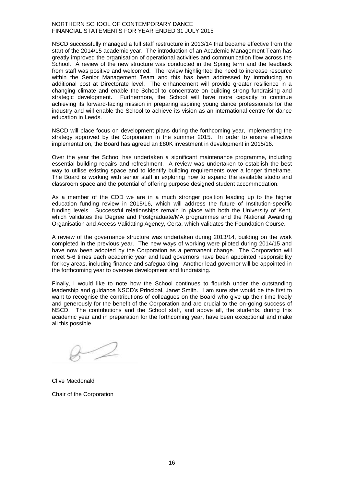NSCD successfully managed a full staff restructure in 2013/14 that became effective from the start of the 2014/15 academic year. The introduction of an Academic Management Team has greatly improved the organisation of operational activities and communication flow across the School. A review of the new structure was conducted in the Spring term and the feedback from staff was positive and welcomed. The review highlighted the need to increase resource within the Senior Management Team and this has been addressed by introducing an additional post at Directorate level. The enhancement will provide greater resilience in a changing climate and enable the School to concentrate on building strong fundraising and strategic development. Furthermore, the School will have more capacity to continue achieving its forward-facing mission in preparing aspiring young dance professionals for the industry and will enable the School to achieve its vision as an international centre for dance education in Leeds.

NSCD will place focus on development plans during the forthcoming year, implementing the strategy approved by the Corporation in the summer 2015. In order to ensure effective implementation, the Board has agreed an £80K investment in development in 2015/16.

Over the year the School has undertaken a significant maintenance programme, including essential building repairs and refreshment. A review was undertaken to establish the best way to utilise existing space and to identify building requirements over a longer timeframe. The Board is working with senior staff in exploring how to expand the available studio and classroom space and the potential of offering purpose designed student accommodation.

As a member of the CDD we are in a much stronger position leading up to the higher education funding review in 2015/16, which will address the future of Institution-specific funding levels. Successful relationships remain in place with both the University of Kent, which validates the Degree and Postgraduate/MA programmes and the National Awarding Organisation and Access Validating Agency, Certa, which validates the Foundation Course.

A review of the governance structure was undertaken during 2013/14, building on the work completed in the previous year. The new ways of working were piloted during 2014/15 and have now been adopted by the Corporation as a permanent change. The Corporation will meet 5-6 times each academic year and lead governors have been appointed responsibility for key areas, including finance and safeguarding. Another lead governor will be appointed in the forthcoming year to oversee development and fundraising.

Finally, I would like to note how the School continues to flourish under the outstanding leadership and guidance NSCD's Principal, Janet Smith. I am sure she would be the first to want to recognise the contributions of colleagues on the Board who give up their time freely and generously for the benefit of the Corporation and are crucial to the on-going success of NSCD. The contributions and the School staff, and above all, the students, during this academic year and in preparation for the forthcoming year, have been exceptional and make all this possible.

Clive Macdonald Chair of the Corporation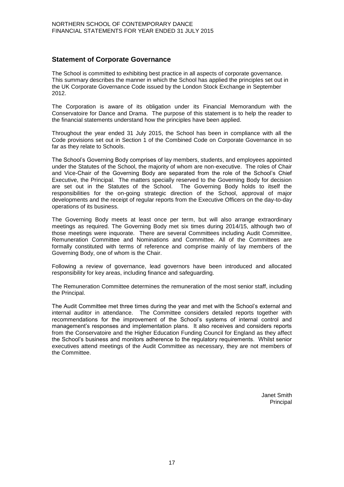## **Statement of Corporate Governance**

The School is committed to exhibiting best practice in all aspects of corporate governance. This summary describes the manner in which the School has applied the principles set out in the UK Corporate Governance Code issued by the London Stock Exchange in September 2012.

The Corporation is aware of its obligation under its Financial Memorandum with the Conservatoire for Dance and Drama. The purpose of this statement is to help the reader to the financial statements understand how the principles have been applied.

Throughout the year ended 31 July 2015, the School has been in compliance with all the Code provisions set out in Section 1 of the Combined Code on Corporate Governance in so far as they relate to Schools.

The School's Governing Body comprises of lay members, students, and employees appointed under the Statutes of the School, the majority of whom are non-executive. The roles of Chair and Vice-Chair of the Governing Body are separated from the role of the School's Chief Executive, the Principal. The matters specially reserved to the Governing Body for decision are set out in the Statutes of the School. The Governing Body holds to itself the responsibilities for the on-going strategic direction of the School, approval of major developments and the receipt of regular reports from the Executive Officers on the day-to-day operations of its business.

The Governing Body meets at least once per term, but will also arrange extraordinary meetings as required. The Governing Body met six times during 2014/15, although two of those meetings were inquorate. There are several Committees including Audit Committee, Remuneration Committee and Nominations and Committee. All of the Committees are formally constituted with terms of reference and comprise mainly of lay members of the Governing Body, one of whom is the Chair.

Following a review of governance, lead governors have been introduced and allocated responsibility for key areas, including finance and safeguarding.

The Remuneration Committee determines the remuneration of the most senior staff, including the Principal.

The Audit Committee met three times during the year and met with the School's external and internal auditor in attendance. The Committee considers detailed reports together with recommendations for the improvement of the School's systems of internal control and management's responses and implementation plans. It also receives and considers reports from the Conservatoire and the Higher Education Funding Council for England as they affect the School's business and monitors adherence to the regulatory requirements. Whilst senior executives attend meetings of the Audit Committee as necessary, they are not members of the Committee.

> Janet Smith Principal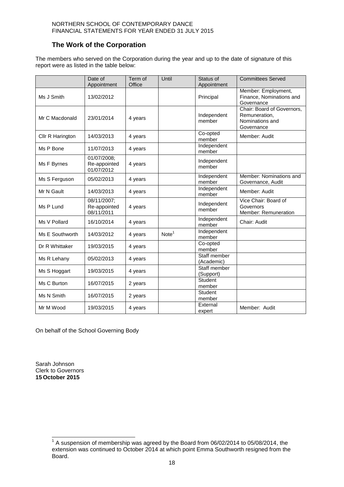# **The Work of the Corporation**

The members who served on the Corporation during the year and up to the date of signature of this report were as listed in the table below:

|                  | Date of                                   | Term of | Until             | Status of                  | <b>Committees Served</b>                                                     |
|------------------|-------------------------------------------|---------|-------------------|----------------------------|------------------------------------------------------------------------------|
|                  | Appointment                               | Office  |                   | Appointment                |                                                                              |
| Ms J Smith       | 13/02/2012                                |         |                   | Principal                  | Member: Employment,<br>Finance, Nominations and<br>Governance                |
| Mr C Macdonald   | 23/01/2014                                | 4 years |                   | Independent<br>member      | Chair: Board of Governors,<br>Remuneration,<br>Nominations and<br>Governance |
| Cllr R Harington | 14/03/2013                                | 4 years |                   | Co-opted<br>member         | Member: Audit                                                                |
| Ms P Bone        | 11/07/2013                                | 4 years |                   | Independent<br>member      |                                                                              |
| Ms F Byrnes      | 01/07/2008;<br>Re-appointed<br>01/07/2012 | 4 years |                   | Independent<br>member      |                                                                              |
| Ms S Ferguson    | 05/02/2013                                | 4 years |                   | Independent<br>member      | Member: Nominations and<br>Governance, Audit                                 |
| Mr N Gault       | 14/03/2013                                | 4 years |                   | Independent<br>member      | Member: Audit                                                                |
| Ms P Lund        | 08/11/2007;<br>Re-appointed<br>08/11/2011 | 4 years |                   | Independent<br>member      | Vice Chair: Board of<br>Governors<br>Member: Remuneration                    |
| Ms V Pollard     | 16/10/2014                                | 4 years |                   | Independent<br>member      | Chair: Audit                                                                 |
| Ms E Southworth  | 14/03/2012                                | 4 years | Note <sup>1</sup> | Independent<br>member      |                                                                              |
| Dr R Whittaker   | 19/03/2015                                | 4 years |                   | Co-opted<br>member         |                                                                              |
| Ms R Lehany      | 05/02/2013                                | 4 years |                   | Staff member<br>(Academic) |                                                                              |
| Ms S Hoggart     | 19/03/2015                                | 4 years |                   | Staff member<br>(Support)  |                                                                              |
| Ms C Burton      | 16/07/2015                                | 2 years |                   | Student<br>member          |                                                                              |
| Ms N Smith       | 16/07/2015                                | 2 years |                   | <b>Student</b><br>member   |                                                                              |
| Mr M Wood        | 19/03/2015                                | 4 years |                   | External<br>expert         | Member: Audit                                                                |

On behalf of the School Governing Body

Sarah Johnson Clerk to Governors **15 October 2015**

 1 A suspension of membership was agreed by the Board from 06/02/2014 to 05/08/2014, the extension was continued to October 2014 at which point Emma Southworth resigned from the Board.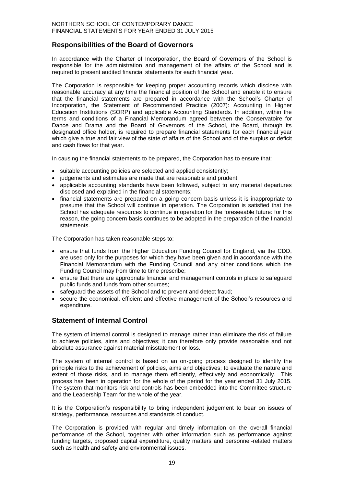## **Responsibilities of the Board of Governors**

In accordance with the Charter of Incorporation, the Board of Governors of the School is responsible for the administration and management of the affairs of the School and is required to present audited financial statements for each financial year.

The Corporation is responsible for keeping proper accounting records which disclose with reasonable accuracy at any time the financial position of the School and enable it to ensure that the financial statements are prepared in accordance with the School's Charter of Incorporation, the Statement of Recommended Practice (2007): Accounting in Higher Education Institutions (SORP) and applicable Accounting Standards. In addition, within the terms and conditions of a Financial Memorandum agreed between the Conservatoire for Dance and Drama and the Board of Governors of the School, the Board, through its designated office holder, is required to prepare financial statements for each financial year which give a true and fair view of the state of affairs of the School and of the surplus or deficit and cash flows for that year.

In causing the financial statements to be prepared, the Corporation has to ensure that:

- suitable accounting policies are selected and applied consistently;
- judgements and estimates are made that are reasonable and prudent;
- applicable accounting standards have been followed, subject to any material departures disclosed and explained in the financial statements;
- financial statements are prepared on a going concern basis unless it is inappropriate to presume that the School will continue in operation. The Corporation is satisfied that the School has adequate resources to continue in operation for the foreseeable future: for this reason, the going concern basis continues to be adopted in the preparation of the financial statements.

The Corporation has taken reasonable steps to:

- ensure that funds from the Higher Education Funding Council for England, via the CDD, are used only for the purposes for which they have been given and in accordance with the Financial Memorandum with the Funding Council and any other conditions which the Funding Council may from time to time prescribe;
- ensure that there are appropriate financial and management controls in place to safeguard public funds and funds from other sources;
- safeguard the assets of the School and to prevent and detect fraud;
- secure the economical, efficient and effective management of the School's resources and expenditure.

## **Statement of Internal Control**

The system of internal control is designed to manage rather than eliminate the risk of failure to achieve policies, aims and objectives; it can therefore only provide reasonable and not absolute assurance against material misstatement or loss.

The system of internal control is based on an on-going process designed to identify the principle risks to the achievement of policies, aims and objectives; to evaluate the nature and extent of those risks, and to manage them efficiently, effectively and economically. This process has been in operation for the whole of the period for the year ended 31 July 2015. The system that monitors risk and controls has been embedded into the Committee structure and the Leadership Team for the whole of the year.

It is the Corporation's responsibility to bring independent judgement to bear on issues of strategy, performance, resources and standards of conduct.

The Corporation is provided with regular and timely information on the overall financial performance of the School, together with other information such as performance against funding targets, proposed capital expenditure, quality matters and personnel-related matters such as health and safety and environmental issues.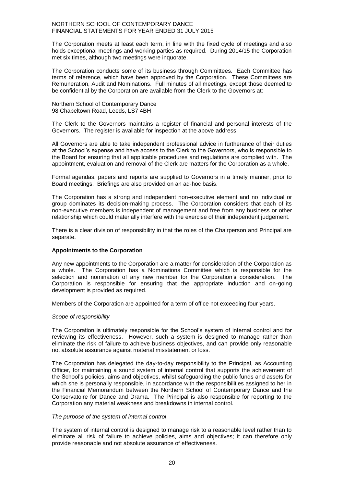The Corporation meets at least each term, in line with the fixed cycle of meetings and also holds exceptional meetings and working parties as required. During 2014/15 the Corporation met six times, although two meetings were inquorate.

The Corporation conducts some of its business through Committees. Each Committee has terms of reference, which have been approved by the Corporation. These Committees are Remuneration, Audit and Nominations. Full minutes of all meetings, except those deemed to be confidential by the Corporation are available from the Clerk to the Governors at:

Northern School of Contemporary Dance 98 Chapeltown Road, Leeds, LS7 4BH

The Clerk to the Governors maintains a register of financial and personal interests of the Governors. The register is available for inspection at the above address.

All Governors are able to take independent professional advice in furtherance of their duties at the School's expense and have access to the Clerk to the Governors, who is responsible to the Board for ensuring that all applicable procedures and regulations are complied with. The appointment, evaluation and removal of the Clerk are matters for the Corporation as a whole.

Formal agendas, papers and reports are supplied to Governors in a timely manner, prior to Board meetings. Briefings are also provided on an ad-hoc basis.

The Corporation has a strong and independent non-executive element and no individual or group dominates its decision-making process. The Corporation considers that each of its non-executive members is independent of management and free from any business or other relationship which could materially interfere with the exercise of their independent judgement.

There is a clear division of responsibility in that the roles of the Chairperson and Principal are separate.

#### **Appointments to the Corporation**

Any new appointments to the Corporation are a matter for consideration of the Corporation as a whole. The Corporation has a Nominations Committee which is responsible for the selection and nomination of any new member for the Corporation's consideration. The Corporation is responsible for ensuring that the appropriate induction and on-going development is provided as required.

Members of the Corporation are appointed for a term of office not exceeding four years.

#### *Scope of responsibility*

The Corporation is ultimately responsible for the School's system of internal control and for reviewing its effectiveness. However, such a system is designed to manage rather than eliminate the risk of failure to achieve business objectives, and can provide only reasonable not absolute assurance against material misstatement or loss.

The Corporation has delegated the day-to-day responsibility to the Principal, as Accounting Officer, for maintaining a sound system of internal control that supports the achievement of the School's policies, aims and objectives, whilst safeguarding the public funds and assets for which she is personally responsible, in accordance with the responsibilities assigned to her in the Financial Memorandum between the Northern School of Contemporary Dance and the Conservatoire for Dance and Drama. The Principal is also responsible for reporting to the Corporation any material weakness and breakdowns in internal control.

#### *The purpose of the system of internal control*

The system of internal control is designed to manage risk to a reasonable level rather than to eliminate all risk of failure to achieve policies, aims and objectives; it can therefore only provide reasonable and not absolute assurance of effectiveness.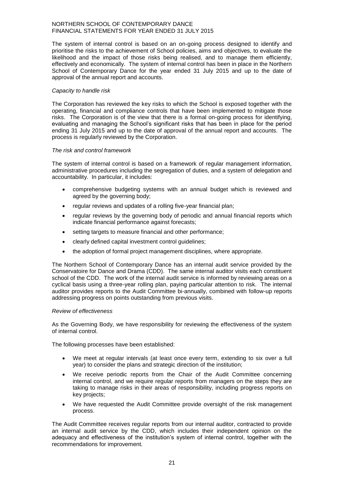The system of internal control is based on an on-going process designed to identify and prioritise the risks to the achievement of School policies, aims and objectives, to evaluate the likelihood and the impact of those risks being realised, and to manage them efficiently, effectively and economically. The system of internal control has been in place in the Northern School of Contemporary Dance for the year ended 31 July 2015 and up to the date of approval of the annual report and accounts.

#### *Capacity to handle risk*

The Corporation has reviewed the key risks to which the School is exposed together with the operating, financial and compliance controls that have been implemented to mitigate those risks. The Corporation is of the view that there is a formal on-going process for identifying, evaluating and managing the School's significant risks that has been in place for the period ending 31 July 2015 and up to the date of approval of the annual report and accounts. The process is regularly reviewed by the Corporation.

#### *The risk and control framework*

The system of internal control is based on a framework of regular management information, administrative procedures including the segregation of duties, and a system of delegation and accountability. In particular, it includes:

- comprehensive budgeting systems with an annual budget which is reviewed and agreed by the governing body;
- regular reviews and updates of a rolling five-year financial plan;
- regular reviews by the governing body of periodic and annual financial reports which indicate financial performance against forecasts;
- setting targets to measure financial and other performance:
- clearly defined capital investment control guidelines;
- the adoption of formal project management disciplines, where appropriate.

The Northern School of Contemporary Dance has an internal audit service provided by the Conservatoire for Dance and Drama (CDD). The same internal auditor visits each constituent school of the CDD. The work of the internal audit service is informed by reviewing areas on a cyclical basis using a three-year rolling plan, paying particular attention to risk. The internal auditor provides reports to the Audit Committee bi-annually, combined with follow-up reports addressing progress on points outstanding from previous visits.

#### *Review of effectiveness*

As the Governing Body, we have responsibility for reviewing the effectiveness of the system of internal control.

The following processes have been established:

- We meet at regular intervals (at least once every term, extending to six over a full year) to consider the plans and strategic direction of the institution;
- We receive periodic reports from the Chair of the Audit Committee concerning internal control, and we require regular reports from managers on the steps they are taking to manage risks in their areas of responsibility, including progress reports on key projects;
- We have requested the Audit Committee provide oversight of the risk management process.

The Audit Committee receives regular reports from our internal auditor, contracted to provide an internal audit service by the CDD, which includes their independent opinion on the adequacy and effectiveness of the institution's system of internal control, together with the recommendations for improvement.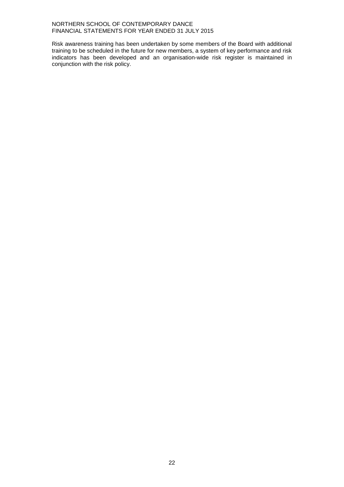Risk awareness training has been undertaken by some members of the Board with additional training to be scheduled in the future for new members, a system of key performance and risk indicators has been developed and an organisation-wide risk register is maintained in conjunction with the risk policy.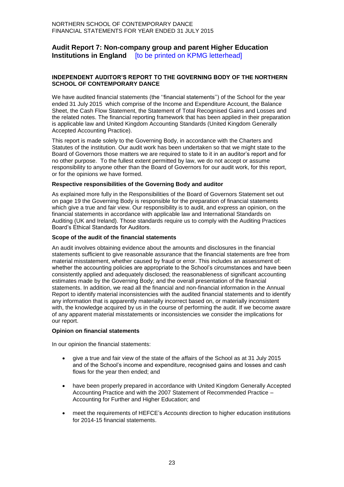## **Audit Report 7: Non-company group and parent Higher Education Institutions in England** [to be printed on KPMG letterhead]

## **INDEPENDENT AUDITOR'S REPORT TO THE GOVERNING BODY OF THE NORTHERN SCHOOL OF CONTEMPORARY DANCE**

We have audited financial statements (the ''financial statements'') of the School for the year ended 31 July 2015 which comprise of the Income and Expenditure Account, the Balance Sheet, the Cash Flow Statement, the Statement of Total Recognised Gains and Losses and the related notes. The financial reporting framework that has been applied in their preparation is applicable law and United Kingdom Accounting Standards (United Kingdom Generally Accepted Accounting Practice).

This report is made solely to the Governing Body, in accordance with the Charters and Statutes of the institution. Our audit work has been undertaken so that we might state to the Board of Governors those matters we are required to state to it in an auditor's report and for no other purpose. To the fullest extent permitted by law, we do not accept or assume responsibility to anyone other than the Board of Governors for our audit work, for this report, or for the opinions we have formed.

#### **Respective responsibilities of the Governing Body and auditor**

As explained more fully in the Responsibilities of the Board of Governors Statement set out on page 19 the Governing Body is responsible for the preparation of financial statements which give a true and fair view. Our responsibility is to audit, and express an opinion, on the financial statements in accordance with applicable law and International Standards on Auditing (UK and Ireland). Those standards require us to comply with the Auditing Practices Board's Ethical Standards for Auditors.

#### **Scope of the audit of the financial statements**

An audit involves obtaining evidence about the amounts and disclosures in the financial statements sufficient to give reasonable assurance that the financial statements are free from material misstatement, whether caused by fraud or error. This includes an assessment of: whether the accounting policies are appropriate to the School's circumstances and have been consistently applied and adequately disclosed; the reasonableness of significant accounting estimates made by the Governing Body; and the overall presentation of the financial statements. In addition, we read all the financial and non-financial information in the Annual Report to identify material inconsistencies with the audited financial statements and to identify any information that is apparently materially incorrect based on, or materially inconsistent with, the knowledge acquired by us in the course of performing the audit. If we become aware of any apparent material misstatements or inconsistencies we consider the implications for our report.

#### **Opinion on financial statements**

In our opinion the financial statements:

- give a true and fair view of the state of the affairs of the School as at 31 July 2015 and of the School's income and expenditure, recognised gains and losses and cash flows for the year then ended; and
- have been properly prepared in accordance with United Kingdom Generally Accepted Accounting Practice and with the 2007 Statement of Recommended Practice – Accounting for Further and Higher Education; and
- meet the requirements of HEFCE's *Accounts* direction to higher education institutions for 2014-15 financial statements.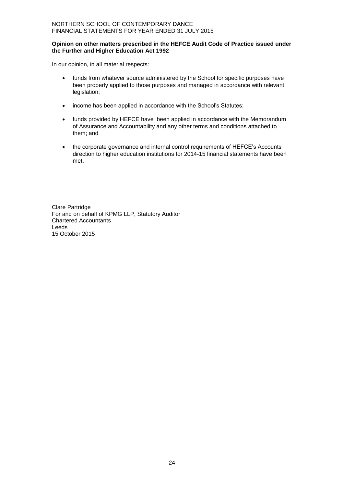#### **Opinion on other matters prescribed in the HEFCE Audit Code of Practice issued under the Further and Higher Education Act 1992**

In our opinion, in all material respects:

- funds from whatever source administered by the School for specific purposes have been properly applied to those purposes and managed in accordance with relevant legislation;
- income has been applied in accordance with the School's Statutes:
- funds provided by HEFCE have been applied in accordance with the Memorandum of Assurance and Accountability and any other terms and conditions attached to them; and
- the corporate governance and internal control requirements of HEFCE's Accounts direction to higher education institutions for 2014-15 financial statements have been met.

Clare Partridge For and on behalf of KPMG LLP, Statutory Auditor Chartered Accountants Leeds 15 October 2015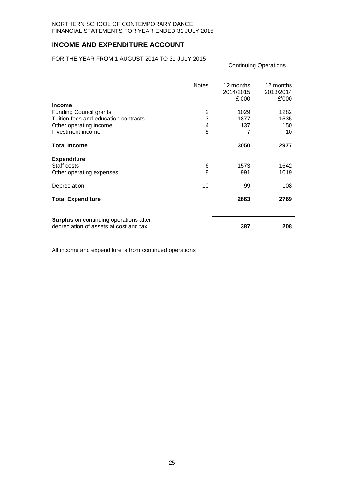## **INCOME AND EXPENDITURE ACCOUNT**

FOR THE YEAR FROM 1 AUGUST 2014 TO 31 JULY 2015

|                                        | <b>Notes</b> | 12 months<br>2014/2015<br>£'000 | 12 months<br>2013/2014<br>£'000 |
|----------------------------------------|--------------|---------------------------------|---------------------------------|
| <b>Income</b>                          |              |                                 |                                 |
| <b>Funding Council grants</b>          | 2            | 1029                            | 1282                            |
| Tuition fees and education contracts   | 3            | 1877                            | 1535                            |
| Other operating income                 | 4            | 137                             | 150                             |
| Investment income                      | 5            | 7                               | 10                              |
| <b>Total Income</b>                    |              | 3050                            | 2977                            |
| <b>Expenditure</b>                     |              |                                 |                                 |
| Staff costs                            | 6            | 1573                            | 1642                            |
| Other operating expenses               | 8            | 991                             | 1019                            |
| Depreciation                           | 10           | 99                              | 108                             |
| <b>Total Expenditure</b>               |              | 2663                            | 2769                            |
| Surplus on continuing operations after |              |                                 |                                 |
| depreciation of assets at cost and tax |              | 387                             | 208                             |

Continuing Operations

All income and expenditure is from continued operations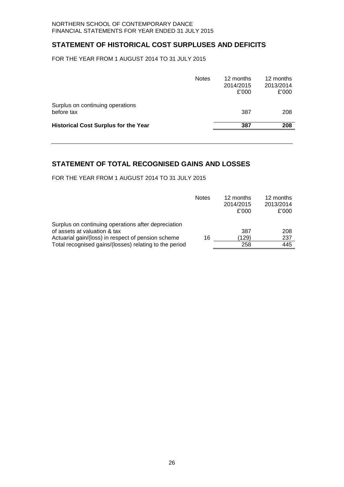# **STATEMENT OF HISTORICAL COST SURPLUSES AND DEFICITS**

FOR THE YEAR FROM 1 AUGUST 2014 TO 31 JULY 2015

| <b>Notes</b> | 12 months<br>2014/2015<br>£'000 | 12 months<br>2013/2014<br>£'000 |
|--------------|---------------------------------|---------------------------------|
|              | 387                             | 208                             |
|              | 387                             | 208                             |
|              |                                 |                                 |

# **STATEMENT OF TOTAL RECOGNISED GAINS AND LOSSES**

FOR THE YEAR FROM 1 AUGUST 2014 TO 31 JULY 2015

|                                                        | <b>Notes</b> | 12 months<br>2014/2015<br>£'000 | 12 months<br>2013/2014<br>£'000 |
|--------------------------------------------------------|--------------|---------------------------------|---------------------------------|
| Surplus on continuing operations after depreciation    |              |                                 |                                 |
| of assets at valuation & tax                           |              | 387                             | 208                             |
| Actuarial gain/(loss) in respect of pension scheme     | 16           | (129)                           | 237                             |
| Total recognised gains/(losses) relating to the period |              | 258                             | 445                             |
|                                                        |              |                                 |                                 |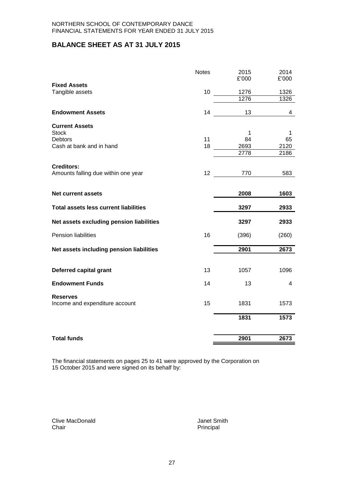# **BALANCE SHEET AS AT 31 JULY 2015**

|                                                   | <b>Notes</b> | 2015<br>£'000 | 2014<br>£'000 |
|---------------------------------------------------|--------------|---------------|---------------|
| <b>Fixed Assets</b>                               |              |               |               |
| Tangible assets                                   | 10           | 1276          | 1326          |
|                                                   |              | 1276          | 1326          |
| <b>Endowment Assets</b>                           | 14           | 13            | 4             |
| <b>Current Assets</b>                             |              |               |               |
| <b>Stock</b>                                      |              | 1             | 1             |
| <b>Debtors</b><br>Cash at bank and in hand        | 11<br>18     | 84<br>2693    | 65<br>2120    |
|                                                   |              | 2778          | 2186          |
|                                                   |              |               |               |
| <b>Creditors:</b>                                 |              |               |               |
| Amounts falling due within one year               | 12           | 770           | 583           |
| <b>Net current assets</b>                         |              | 2008          | 1603          |
| <b>Total assets less current liabilities</b>      |              | 3297          | 2933          |
| Net assets excluding pension liabilities          |              | 3297          | 2933          |
| <b>Pension liabilities</b>                        | 16           | (396)         | (260)         |
| Net assets including pension liabilities          |              | 2901          | 2673          |
|                                                   |              |               |               |
| Deferred capital grant                            | 13           | 1057          | 1096          |
| <b>Endowment Funds</b>                            | 14           | 13            | 4             |
| <b>Reserves</b><br>Income and expenditure account | 15           | 1831          | 1573          |
|                                                   |              | 1831          | 1573          |
| <b>Total funds</b>                                |              | 2901          | 2673          |

The financial statements on pages 25 to 41 were approved by the Corporation on 15 October 2015 and were signed on its behalf by:

Clive MacDonald **Clive MacDonald** Janet Smith<br>
Chair<br>
Principal

Principal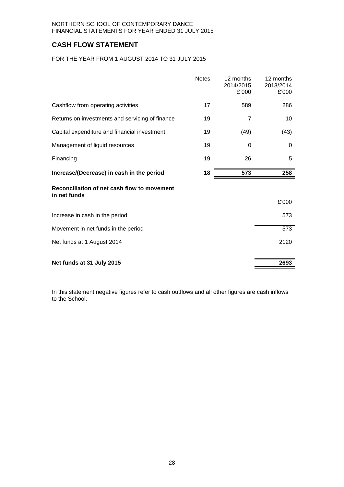# **CASH FLOW STATEMENT**

FOR THE YEAR FROM 1 AUGUST 2014 TO 31 JULY 2015

|                                                             | <b>Notes</b> | 12 months<br>2014/2015<br>£'000 | 12 months<br>2013/2014<br>£'000 |
|-------------------------------------------------------------|--------------|---------------------------------|---------------------------------|
| Cashflow from operating activities                          | 17           | 589                             | 286                             |
| Returns on investments and servicing of finance             | 19           | $\overline{7}$                  | 10                              |
| Capital expenditure and financial investment                | 19           | (49)                            | (43)                            |
| Management of liquid resources                              | 19           | 0                               | 0                               |
| Financing                                                   | 19           | 26                              | 5                               |
| Increase/(Decrease) in cash in the period                   | 18           | 573                             | 258                             |
| Reconciliation of net cash flow to movement<br>in net funds |              |                                 |                                 |
|                                                             |              |                                 | £'000                           |
| Increase in cash in the period                              |              |                                 | 573                             |
| Movement in net funds in the period                         |              |                                 | 573                             |
| Net funds at 1 August 2014                                  |              |                                 | 2120                            |
|                                                             |              |                                 |                                 |
| Net funds at 31 July 2015                                   |              |                                 | 2693                            |

In this statement negative figures refer to cash outflows and all other figures are cash inflows to the School.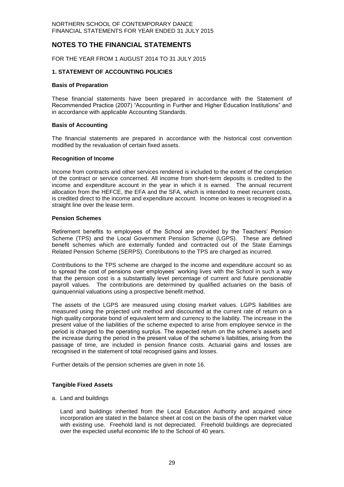# **NOTES TO THE FINANCIAL STATEMENTS**

FOR THE YEAR FROM 1 AUGUST 2014 TO 31 JULY 2015

#### **1. STATEMENT OF ACCOUNTING POLICIES**

#### **Basis of Preparation**

These financial statements have been prepared in accordance with the Statement of Recommended Practice (2007) "Accounting in Further and Higher Education Institutions" and in accordance with applicable Accounting Standards.

#### **Basis of Accounting**

The financial statements are prepared in accordance with the historical cost convention modified by the revaluation of certain fixed assets.

#### **Recognition of Income**

Income from contracts and other services rendered is included to the extent of the completion of the contract or service concerned. All income from short-term deposits is credited to the income and expenditure account in the year in which it is earned. The annual recurrent allocation from the HEFCE, the EFA and the SFA, which is intended to meet recurrent costs, is credited direct to the income and expenditure account. Income on leases is recognised in a straight line over the lease term.

#### **Pension Schemes**

Retirement benefits to employees of the School are provided by the Teachers' Pension Scheme (TPS) and the Local Government Pension Scheme (LGPS). These are defined benefit schemes which are externally funded and contracted out of the State Earnings Related Pension Scheme (SERPS). Contributions to the TPS are charged as incurred.

Contributions to the TPS scheme are charged to the income and expenditure account so as to spread the cost of pensions over employees' working lives with the School in such a way that the pension cost is a substantially level percentage of current and future pensionable payroll values. The contributions are determined by qualified actuaries on the basis of quinquennial valuations using a prospective benefit method.

The assets of the LGPS are measured using closing market values. LGPS liabilities are measured using the projected unit method and discounted at the current rate of return on a high quality corporate bond of equivalent term and currency to the liability. The increase in the present value of the liabilities of the scheme expected to arise from employee service in the period is charged to the operating surplus. The expected return on the scheme's assets and the increase during the period in the present value of the scheme's liabilities, arising from the passage of time, are included in pension finance costs. Actuarial gains and losses are recognised in the statement of total recognised gains and losses.

Further details of the pension schemes are given in note 16.

#### **Tangible Fixed Assets**

a. Land and buildings

Land and buildings inherited from the Local Education Authority and acquired since incorporation are stated in the balance sheet at cost on the basis of the open market value with existing use. Freehold land is not depreciated. Freehold buildings are depreciated over the expected useful economic life to the School of 40 years.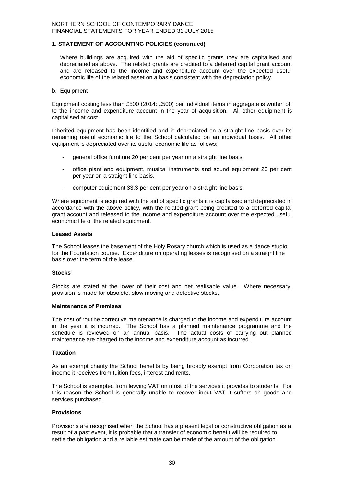#### **1. STATEMENT OF ACCOUNTING POLICIES (continued)**

Where buildings are acquired with the aid of specific grants they are capitalised and depreciated as above. The related grants are credited to a deferred capital grant account and are released to the income and expenditure account over the expected useful economic life of the related asset on a basis consistent with the depreciation policy.

#### b. Equipment

Equipment costing less than £500 (2014: £500) per individual items in aggregate is written off to the income and expenditure account in the year of acquisition. All other equipment is capitalised at cost.

Inherited equipment has been identified and is depreciated on a straight line basis over its remaining useful economic life to the School calculated on an individual basis. All other equipment is depreciated over its useful economic life as follows:

- general office furniture 20 per cent per year on a straight line basis.
- office plant and equipment, musical instruments and sound equipment 20 per cent per year on a straight line basis.
- computer equipment 33.3 per cent per year on a straight line basis.

Where equipment is acquired with the aid of specific grants it is capitalised and depreciated in accordance with the above policy, with the related grant being credited to a deferred capital grant account and released to the income and expenditure account over the expected useful economic life of the related equipment.

#### **Leased Assets**

The School leases the basement of the Holy Rosary church which is used as a dance studio for the Foundation course. Expenditure on operating leases is recognised on a straight line basis over the term of the lease.

#### **Stocks**

Stocks are stated at the lower of their cost and net realisable value. Where necessary, provision is made for obsolete, slow moving and defective stocks.

#### **Maintenance of Premises**

The cost of routine corrective maintenance is charged to the income and expenditure account in the year it is incurred. The School has a planned maintenance programme and the schedule is reviewed on an annual basis. The actual costs of carrying out planned maintenance are charged to the income and expenditure account as incurred.

#### **Taxation**

As an exempt charity the School benefits by being broadly exempt from Corporation tax on income it receives from tuition fees, interest and rents.

The School is exempted from levying VAT on most of the services it provides to students. For this reason the School is generally unable to recover input VAT it suffers on goods and services purchased.

#### **Provisions**

Provisions are recognised when the School has a present legal or constructive obligation as a result of a past event, it is probable that a transfer of economic benefit will be required to settle the obligation and a reliable estimate can be made of the amount of the obligation.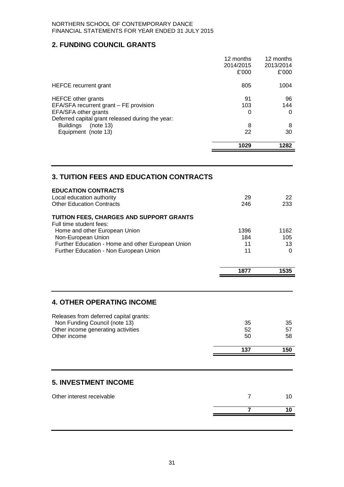# **2. FUNDING COUNCIL GRANTS**

|                                                  | 12 months<br>2014/2015 | 12 months<br>2013/2014 |
|--------------------------------------------------|------------------------|------------------------|
|                                                  | £'000                  | £'000                  |
| HEFCE recurrent grant                            | 805                    | 1004                   |
| <b>HEFCE</b> other grants                        | 91                     | 96                     |
| EFA/SFA recurrent grant - FE provision           | 103                    | 144                    |
| EFA/SFA other grants                             | 0                      | 0                      |
| Deferred capital grant released during the year: |                        |                        |
| <b>Buildings</b><br>(note 13)                    | 8                      | 8                      |
| Equipment (note 13)                              | 22                     | 30                     |
|                                                  | 1029                   | 1282                   |

# **3. TUITION FEES AND EDUCATION CONTRACTS**

| <b>EDUCATION CONTRACTS</b>                                                 |      |      |
|----------------------------------------------------------------------------|------|------|
| Local education authority                                                  | 29   | 22   |
| <b>Other Education Contracts</b>                                           | 246  | 233  |
| <b>TUITION FEES, CHARGES AND SUPPORT GRANTS</b><br>Full time student fees: |      |      |
| Home and other European Union                                              | 1396 | 1162 |
| Non-European Union                                                         | 184  | 105  |
| Further Education - Home and other European Union                          | 11   | 13   |
| Further Education - Non European Union                                     | 11   | 0    |
|                                                                            |      |      |
|                                                                            | 1877 | 1535 |
|                                                                            |      |      |
| <b>4. OTHER OPERATING INCOME</b>                                           |      |      |
| Releases from deferred capital grants:                                     |      |      |
| Non Funding Council (note 13)                                              | 35   | 35   |
| Other income generating activities                                         | 52   | 57   |
| Other income                                                               | 50   | 58   |
|                                                                            | 137  | 150  |
|                                                                            |      |      |
|                                                                            |      |      |
| <b>5. INVESTMENT INCOME</b>                                                |      |      |
|                                                                            |      |      |

| Other interest receivable |  |  |
|---------------------------|--|--|
|                           |  |  |
|                           |  |  |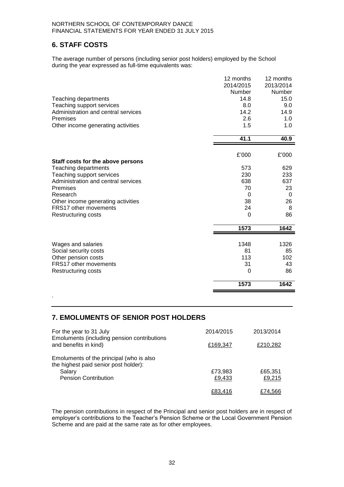# **6. STAFF COSTS**

The average number of persons (including senior post holders) employed by the School during the year expressed as full-time equivalents was:

|                                                             | 12 months      | 12 months |
|-------------------------------------------------------------|----------------|-----------|
|                                                             | 2014/2015      | 2013/2014 |
|                                                             | Number         | Number    |
| Teaching departments                                        | 14.8           | 15.0      |
| Teaching support services                                   | 8.0            | 9.0       |
| Administration and central services                         | 14.2           | 14.9      |
| Premises                                                    | 2.6            | 1.0       |
| Other income generating activities                          | 1.5            | 1.0       |
|                                                             |                |           |
|                                                             | 41.1           | 40.9      |
|                                                             |                |           |
|                                                             | £'000          | £'000     |
| Staff costs for the above persons                           |                |           |
| Teaching departments                                        | 573            | 629       |
| Teaching support services                                   | 230            | 233       |
| Administration and central services                         | 638            | 637       |
| Premises                                                    | 70<br>$\Omega$ | 23        |
| Research                                                    | 38             | 0<br>26   |
| Other income generating activities<br>FRS17 other movements | 24             | 8         |
| Restructuring costs                                         | 0              | 86        |
|                                                             |                |           |
|                                                             | 1573           | 1642      |
|                                                             |                |           |
| Wages and salaries                                          | 1348           | 1326      |
| Social security costs                                       | 81             | 85        |
| Other pension costs                                         | 113            | 102       |
| FRS17 other movements                                       | 31             | 43        |
| Restructuring costs                                         | 0              | 86        |
|                                                             | 1573           | 1642      |
|                                                             |                |           |

## **7. EMOLUMENTS OF SENIOR POST HOLDERS**

| For the year to 31 July<br>Emoluments (including pension contributions                                                     | 2014/2015         | 2013/2014         |
|----------------------------------------------------------------------------------------------------------------------------|-------------------|-------------------|
| and benefits in kind)                                                                                                      | £169,347          | £210,282          |
| Emoluments of the principal (who is also<br>the highest paid senior post holder):<br>Salary<br><b>Pension Contribution</b> | £73,983<br>£9,433 | £65,351<br>£9,215 |
|                                                                                                                            | £83,416           | £74,566           |

The pension contributions in respect of the Principal and senior post holders are in respect of employer's contributions to the Teacher's Pension Scheme or the Local Government Pension Scheme and are paid at the same rate as for other employees.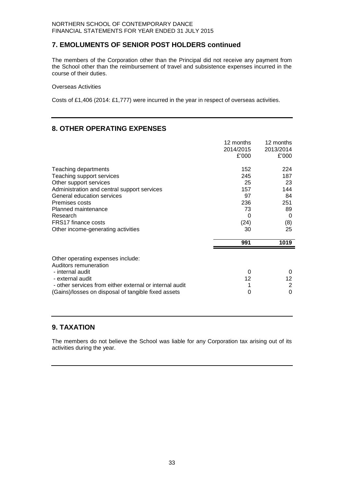# **7. EMOLUMENTS OF SENIOR POST HOLDERS continued**

The members of the Corporation other than the Principal did not receive any payment from the School other than the reimbursement of travel and subsistence expenses incurred in the course of their duties.

Overseas Activities

Costs of £1,406 (2014: £1,777) were incurred in the year in respect of overseas activities.

# **8. OTHER OPERATING EXPENSES**

|                                                                                                                                                                                                                                                                                   | 12 months<br>2014/2015<br>£'000                               | 12 months<br>2013/2014<br>£'000                              |
|-----------------------------------------------------------------------------------------------------------------------------------------------------------------------------------------------------------------------------------------------------------------------------------|---------------------------------------------------------------|--------------------------------------------------------------|
| Teaching departments<br>Teaching support services<br>Other support services<br>Administration and central support services<br>General education services<br>Premises costs<br>Planned maintenance<br>Research<br><b>FRS17</b> finance costs<br>Other income-generating activities | 152<br>245<br>25<br>157<br>97<br>236<br>73<br>0<br>(24)<br>30 | 224<br>187<br>23<br>144<br>84<br>251<br>89<br>0<br>(8)<br>25 |
|                                                                                                                                                                                                                                                                                   | 991                                                           | 1019                                                         |
| Other operating expenses include:<br>Auditors remuneration<br>- internal audit<br>- external audit<br>- other services from either external or internal audit<br>(Gains)/losses on disposal of tangible fixed assets                                                              | 0<br>12<br>1<br>0                                             | 0<br>12<br>$\overline{2}$<br>$\Omega$                        |

# **9. TAXATION**

The members do not believe the School was liable for any Corporation tax arising out of its activities during the year.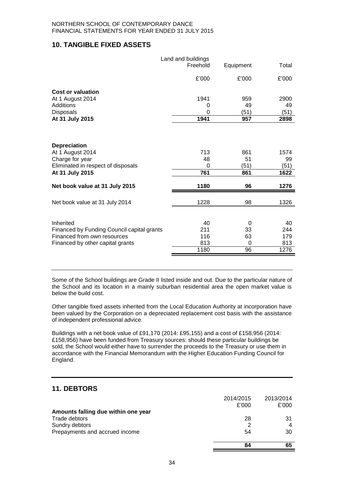## **10. TANGIBLE FIXED ASSETS**

|                                                                                                                     | Land and buildings<br>Freehold | Equipment                | Total                      |
|---------------------------------------------------------------------------------------------------------------------|--------------------------------|--------------------------|----------------------------|
|                                                                                                                     | £'000                          | £'000                    | £'000                      |
| <b>Cost or valuation</b>                                                                                            |                                |                          |                            |
| At 1 August 2014                                                                                                    | 1941                           | 959                      | 2900                       |
| Additions                                                                                                           | 0                              | 49                       | 49                         |
| <b>Disposals</b>                                                                                                    | 0                              | (51)                     | (51)                       |
| At 31 July 2015                                                                                                     | 1941                           | 957                      | 2898                       |
| <b>Depreciation</b><br>At 1 August 2014<br>Charge for year<br>Eliminated in respect of disposals<br>At 31 July 2015 | 713<br>48<br>0<br>761          | 861<br>51<br>(51)<br>861 | 1574<br>99<br>(51)<br>1622 |
| Net book value at 31 July 2015                                                                                      | 1180                           | 96                       | 1276                       |
| Net book value at 31 July 2014                                                                                      | 1228                           | 98                       | 1326                       |
|                                                                                                                     |                                |                          |                            |
| Inherited                                                                                                           | 40                             | 0                        | 40                         |
| Financed by Funding Council capital grants                                                                          | 211                            | 33                       | 244                        |
| Financed from own resources                                                                                         | 116                            | 63                       | 179                        |
| Financed by other capital grants                                                                                    | 813                            | 0                        | 813                        |
|                                                                                                                     | 1180                           | 96                       | 1276                       |

Some of the School buildings are Grade II listed inside and out. Due to the particular nature of the School and its location in a mainly suburban residential area the open market value is below the build cost.

Other tangible fixed assets inherited from the Local Education Authority at incorporation have been valued by the Corporation on a depreciated replacement cost basis with the assistance of independent professional advice.

Buildings with a net book value of £91,170 (2014: £95,155) and a cost of £158,956 (2014: £158,956) have been funded from Treasury sources: should these particular buildings be sold, the School would either have to surrender the proceeds to the Treasury or use them in accordance with the Financial Memorandum with the Higher Education Funding Council for England.

## **11. DEBTORS**

|                                     | 2014/2015<br>£'000 | 2013/2014<br>£'000 |
|-------------------------------------|--------------------|--------------------|
| Amounts falling due within one year |                    |                    |
| Trade debtors                       | 28                 | 31                 |
| Sundry debtors                      | 2                  | 4                  |
| Prepayments and accrued income      | 54                 | 30                 |
|                                     | 84                 | 65                 |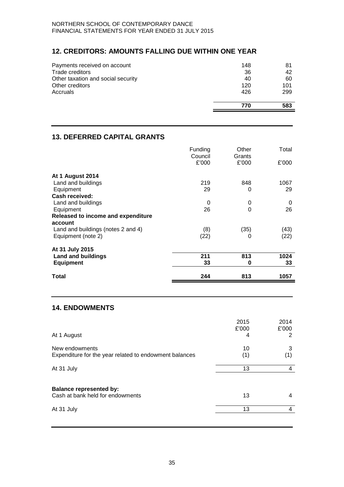# **12. CREDITORS: AMOUNTS FALLING DUE WITHIN ONE YEAR**

| Payments received on account       | 148 | 81  |
|------------------------------------|-----|-----|
| Trade creditors                    | 36  | 42  |
| Other taxation and social security | 40  | 60  |
| Other creditors                    | 120 | 101 |
| Accruals                           | 426 | 299 |
|                                    | 770 | 583 |
|                                    |     |     |

# **13. DEFERRED CAPITAL GRANTS**

|                                    | Funding<br>Council<br>£'000 | Other<br>Grants<br>£'000 | Total<br>£'000 |
|------------------------------------|-----------------------------|--------------------------|----------------|
|                                    |                             |                          |                |
| <b>At 1 August 2014</b>            |                             |                          |                |
| Land and buildings                 | 219                         | 848                      | 1067           |
| Equipment                          | 29                          | 0                        | 29             |
| Cash received:                     |                             |                          |                |
| Land and buildings                 | 0                           | 0                        | 0              |
| Equipment                          | 26                          | 0                        | 26             |
| Released to income and expenditure |                             |                          |                |
| account                            |                             |                          |                |
| Land and buildings (notes 2 and 4) | (8)                         | (35)                     | (43)           |
| Equipment (note 2)                 | (22)                        | 0                        | (22)           |
| At 31 July 2015                    |                             |                          |                |
| <b>Land and buildings</b>          | 211                         | 813                      | 1024           |
| <b>Equipment</b>                   | 33                          | 0                        | 33             |
| Total                              | 244                         | 813                      | 1057           |

## **14. ENDOWMENTS**

| At 1 August                                                              | 2015<br>£'000<br>4 | 2014<br>£'000<br>2 |
|--------------------------------------------------------------------------|--------------------|--------------------|
| New endowments<br>Expenditure for the year related to endowment balances | 10<br>(1)          | 3                  |
| At 31 July                                                               | 13                 | 4                  |
| <b>Balance represented by:</b><br>Cash at bank held for endowments       | 13                 | 4                  |
| At 31 July                                                               | 13                 |                    |
|                                                                          |                    |                    |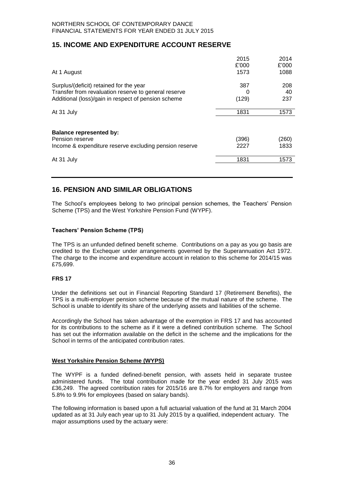# **15. INCOME AND EXPENDITURE ACCOUNT RESERVE**

|                                                        | 2015  | 2014  |
|--------------------------------------------------------|-------|-------|
|                                                        | £'000 | £'000 |
| At 1 August                                            | 1573  | 1088  |
| Surplus/(deficit) retained for the year                | 387   | 208   |
| Transfer from revaluation reserve to general reserve   | 0     | 40    |
| Additional (loss)/gain in respect of pension scheme    | (129) | 237   |
| At 31 July                                             | 1831  | 1573  |
|                                                        |       |       |
| <b>Balance represented by:</b>                         |       |       |
| Pension reserve                                        | (396) | (260) |
| Income & expenditure reserve excluding pension reserve | 2227  | 1833  |
| At 31 July                                             | 1831  | 1573  |
|                                                        |       |       |

## **16. PENSION AND SIMILAR OBLIGATIONS**

The School's employees belong to two principal pension schemes, the Teachers' Pension Scheme (TPS) and the West Yorkshire Pension Fund (WYPF).

#### **Teachers' Pension Scheme (TPS)**

The TPS is an unfunded defined benefit scheme. Contributions on a pay as you go basis are credited to the Exchequer under arrangements governed by the Superannuation Act 1972. The charge to the income and expenditure account in relation to this scheme for 2014/15 was £75,699.

#### **FRS 17**

Under the definitions set out in Financial Reporting Standard 17 (Retirement Benefits), the TPS is a multi-employer pension scheme because of the mutual nature of the scheme. The School is unable to identify its share of the underlying assets and liabilities of the scheme.

Accordingly the School has taken advantage of the exemption in FRS 17 and has accounted for its contributions to the scheme as if it were a defined contribution scheme. The School has set out the information available on the deficit in the scheme and the implications for the School in terms of the anticipated contribution rates.

#### **West Yorkshire Pension Scheme (WYPS)**

The WYPF is a funded defined-benefit pension, with assets held in separate trustee administered funds. The total contribution made for the year ended 31 July 2015 was £36,249.The agreed contribution rates for 2015/16 are 8.7% for employers and range from 5.8% to 9.9% for employees (based on salary bands).

The following information is based upon a full actuarial valuation of the fund at 31 March 2004 updated as at 31 July each year up to 31 July 2015 by a qualified, independent actuary.The major assumptions used by the actuary were: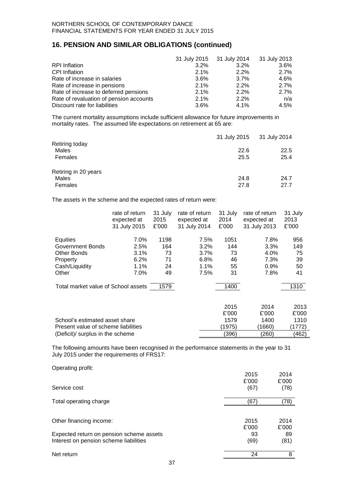# **16. PENSION AND SIMILAR OBLIGATIONS (continued)**

|                                         |         | 31 July 2015 31 July 2014 31 July 2013 |         |
|-----------------------------------------|---------|----------------------------------------|---------|
| <b>RPI</b> Inflation                    | $3.2\%$ | 3.2%                                   | $3.6\%$ |
| <b>CPI</b> Inflation                    | 2.1%    | 2.2%                                   | 2.7%    |
| Rate of increase in salaries            | $3.6\%$ | $3.7\%$                                | 4.6%    |
| Rate of increase in pensions            | 2.1%    | 2.2%                                   | 2.7%    |
| Rate of increase to deferred pensions   | 2.1%    | 2.2%                                   | 2.7%    |
| Rate of revaluation of pension accounts | 2.1%    | $2.2\%$                                | n/a     |
| Discount rate for liabilities           | 3.6%    | $4.1\%$                                | 4.5%    |

The current mortality assumptions include sufficient allowance for future improvements in mortality rates. The assumed life expectations on retirement at 65 are:

| Retiring today       | 31 July 2015 | 31 July 2014 |
|----------------------|--------------|--------------|
| Males                | 22.6         | 22.5         |
|                      |              |              |
| Females              | 25.5         | 25.4         |
| Retiring in 20 years |              |              |
| Males                | 24.8         | 24.7         |
| Females              | 27.8         | 27.7         |

The assets in the scheme and the expected rates of return were:

|                                     | rate of return | 31 July | rate of return | 31 July | rate of return | 31 July |
|-------------------------------------|----------------|---------|----------------|---------|----------------|---------|
|                                     | expected at    | 2015    | expected at    | 2014    | expected at    | 2013    |
|                                     | 31 July 2015   | £'000   | 31 July 2014   | £'000   | 31 July 2013   | £'000   |
|                                     |                |         |                |         |                |         |
| Equities                            | 7.0%           | 1198    | 7.5%           | 1051    | 7.8%           | 956     |
| Government Bonds                    | 2.5%           | 164     | 3.2%           | 144     | 3.3%           | 149     |
| Other Bonds                         | 3.1%           | 73      | 3.7%           | 73      | 4.0%           | 75      |
| Property                            | 6.2%           | 71      | 6.8%           | 46      | 7.3%           | 39      |
| Cash/Liquidity                      | 1.1%           | 24      | 1.1%           | 55      | 0.9%           | 50      |
| Other                               | 7.0%           | 49      | 7.5%           | 31      | 7.8%           | 41      |
| Total market value of School assets |                | 1579    |                | 1400    |                | 1310    |
|                                     |                |         |                |         |                |         |
|                                     |                |         |                |         |                |         |
|                                     |                |         |                | 2015    | 2014           | 2013    |
|                                     |                |         |                | £'000   | £'000          | £'000   |
| School's estimated asset share      |                |         |                | 1579    | 1400           | 1310    |
| Present value of scheme liabilities |                |         |                | (1975)  | (1660)         | (1772)  |
| (Deficit)/ surplus in the scheme    |                |         |                | (396)   | (260)          | (462)   |
|                                     |                |         |                |         |                |         |

The following amounts have been recognised in the performance statements in the year to 31 July 2015 under the requirements of FRS17:

| Operating profit: |
|-------------------|
|-------------------|

|                                          | 2015<br>£'000 | 2014<br>£'000 |
|------------------------------------------|---------------|---------------|
| Service cost                             | (67)          | (78)          |
| Total operating charge                   | (67)          | (78)          |
|                                          |               |               |
| Other financing income:                  | 2015          | 2014          |
|                                          | £'000         | £'000         |
| Expected return on pension scheme assets | 93            | 89            |
| Interest on pension scheme liabilities   | (69)          | (81)          |
| Net return                               | 24            | 8             |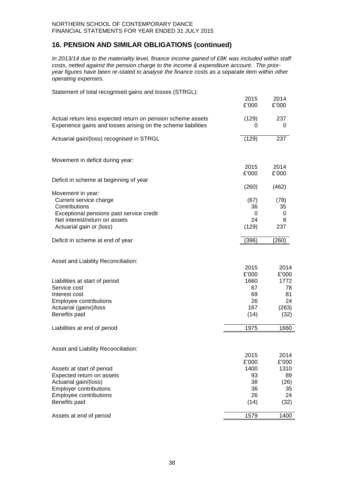# **16. PENSION AND SIMILAR OBLIGATIONS (continued)**

*In 2013/14 due to the materiality level, finance income gained of £8K was included within staff costs, netted against the pension charge to the income & expenditure account. The prioryear figures have been re-stated to analyse the finance costs as a separate item within other operating expenses.*

| Statement of total recognised gains and losses (STRGL):       |       |       |
|---------------------------------------------------------------|-------|-------|
|                                                               | 2015  | 2014  |
|                                                               | £'000 | £'000 |
|                                                               |       |       |
| Actual return less expected return on pension scheme assets   | (129) | 237   |
| Experience gains and losses arising on the scheme liabilities | 0     | 0     |
|                                                               |       |       |
| Actuarial gain/(loss) recognised in STRGL                     | (129) | 237   |
|                                                               |       |       |
|                                                               |       |       |
|                                                               |       |       |
| Movement in deficit during year:                              |       |       |
|                                                               | 2015  | 2014  |
|                                                               | £'000 | £'000 |
| Deficit in scheme at beginning of year                        |       |       |
|                                                               | (260) | (462) |
| Movement in year:                                             |       |       |
| Current service charge                                        | (67)  | (78)  |
| Contributions                                                 | 36    | 35    |
| Exceptional pensions past service credit                      | 0     | 0     |
| Net interest/return on assets                                 | 24    | 8     |
| Actuarial gain or (loss)                                      | (129) | 237   |
|                                                               |       |       |
| Deficit in scheme at end of year                              | (396) | (260) |
|                                                               |       |       |
|                                                               |       |       |
| Asset and Liability Reconciliation:                           |       |       |
|                                                               | 2015  | 2014  |
|                                                               | £'000 | £'000 |
| Liabilities at start of period                                | 1660  | 1772  |
| Service cost                                                  | 67    | 78    |
| Interest cost                                                 | 69    | 81    |
| Employee contributions                                        | 26    | 24    |
|                                                               | 167   |       |
| Actuarial (gains)/loss                                        |       | (263) |
| Benefits paid                                                 | (14)  | (32)  |
|                                                               |       |       |
| Liabilities at end of period                                  | 1975  | 1660  |
|                                                               |       |       |
|                                                               |       |       |
| Asset and Liability Reconciliation:                           |       |       |
|                                                               | 2015  | 2014  |
|                                                               | £'000 | £'000 |
| Assets at start of period                                     | 1400  | 1310  |
| Expected return on assets                                     | 93    | 89    |
| Actuarial gain/(loss)                                         | 38    | (26)  |
| <b>Employer contributions</b>                                 | 36    | 35    |
| Employee contributions                                        | 26    | 24    |
| Benefits paid                                                 | (14)  | (32)  |
|                                                               |       |       |
| Assets at end of period                                       | 1579  | 1400  |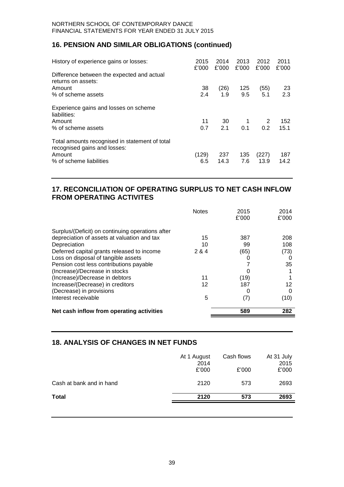# **16. PENSION AND SIMILAR OBLIGATIONS (continued)**

| History of experience gains or losses:                                         | 2015<br>£'000 | 2014<br>£'000 | 2013<br>£'000 | 2012<br>£'000  | 2011<br>£'000 |
|--------------------------------------------------------------------------------|---------------|---------------|---------------|----------------|---------------|
| Difference between the expected and actual<br>returns on assets:               |               |               |               |                |               |
| Amount                                                                         | 38            | (26)          | 125           | (55)           | 23            |
| % of scheme assets                                                             | 2.4           | 1.9           | 9.5           | 5.1            | 2.3           |
| Experience gains and losses on scheme<br>liabilities:                          |               |               |               |                |               |
| Amount                                                                         | 11            | 30            |               | $\overline{2}$ | 152           |
| % of scheme assets                                                             | 0.7           | 2.1           | 0.1           | 0.2            | 15.1          |
| Total amounts recognised in statement of total<br>recognised gains and losses: |               |               |               |                |               |
| Amount                                                                         | (129)         | 237           | 135           | (227)          | 187           |
| % of scheme liabilities                                                        | 6.5           | 14.3          | 7.6           | 13.9           | 14.2          |

# **17. RECONCILIATION OF OPERATING SURPLUS TO NET CASH INFLOW FROM OPERATING ACTIVITES**

|                                                  | <b>Notes</b> | 2015<br>£'000 | 2014<br>£'000 |
|--------------------------------------------------|--------------|---------------|---------------|
| Surplus/(Deficit) on continuing operations after |              |               |               |
| depreciation of assets at valuation and tax      | 15           | 387           | 208           |
| Depreciation                                     | 10           | 99            | 108           |
| Deferred capital grants released to income       | 2 & 4        | (65)          | (73)          |
| Loss on disposal of tangible assets              |              |               |               |
| Pension cost less contributions payable          |              |               | 35            |
| (Increase)/Decrease in stocks                    |              |               |               |
| (Increase)/Decrease in debtors                   | 11           | (19)          |               |
| Increase/(Decrease) in creditors                 | 12           | 187           | 12            |
| (Decrease) in provisions                         |              | O             | 0             |
| Interest receivable                              | 5            |               | (10)          |
| Net cash inflow from operating activities        |              | 589           | 282           |

# **18. ANALYSIS OF CHANGES IN NET FUNDS**

|                          | At 1 August<br>2014<br>£'000 | Cash flows<br>£'000 | At 31 July<br>2015<br>£'000 |
|--------------------------|------------------------------|---------------------|-----------------------------|
| Cash at bank and in hand | 2120                         | 573                 | 2693                        |
| <b>Total</b>             | 2120                         | 573                 | 2693                        |
|                          |                              |                     |                             |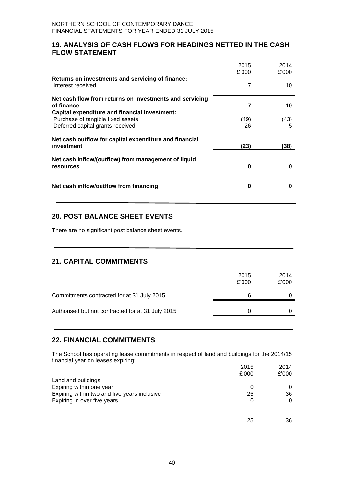## **19. ANALYSIS OF CASH FLOWS FOR HEADINGS NETTED IN THE CASH FLOW STATEMENT**

|                                                         | 2015  | 2014  |
|---------------------------------------------------------|-------|-------|
|                                                         | £'000 | £'000 |
| Returns on investments and servicing of finance:        |       |       |
| Interest received                                       | 7     | 10    |
| Net cash flow from returns on investments and servicing |       |       |
| of finance                                              | 7     | 10    |
| <b>Capital expenditure and financial investment:</b>    |       |       |
| Purchase of tangible fixed assets                       | (49)  | (43)  |
| Deferred capital grants received                        | 26    | 5     |
| Net cash outflow for capital expenditure and financial  |       |       |
| investment                                              | (23)  | (38)  |
| Net cash inflow/(outflow) from management of liquid     |       |       |
| resources                                               | 0     | O     |
|                                                         |       |       |
| Net cash inflow/outflow from financing                  | 0     | 0     |

# **20. POST BALANCE SHEET EVENTS**

There are no significant post balance sheet events.

# **21. CAPITAL COMMITMENTS**

|                                                   | 2015<br>£'000 | 2014<br>£'000 |
|---------------------------------------------------|---------------|---------------|
| Commitments contracted for at 31 July 2015        | 6             |               |
| Authorised but not contracted for at 31 July 2015 | O             |               |

# **22. FINANCIAL COMMITMENTS**

The School has operating lease commitments in respect of land and buildings for the 2014/15 financial year on leases expiring:

|                                              | 2015  | 2014  |
|----------------------------------------------|-------|-------|
|                                              | £'000 | £'000 |
| Land and buildings                           |       |       |
| Expiring within one year                     | Ω     |       |
| Expiring within two and five years inclusive | 25    | 36    |
| Expiring in over five years                  |       |       |
|                                              |       |       |
|                                              |       |       |
|                                              | 25    | 36    |